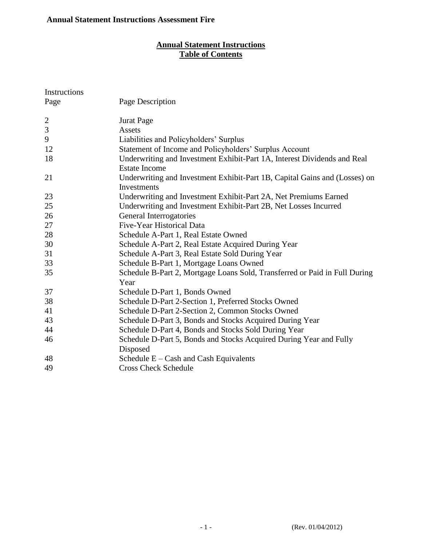## **Annual Statement Instructions Table of Contents**

| Instructions   |                                                                                                  |
|----------------|--------------------------------------------------------------------------------------------------|
| Page           | Page Description                                                                                 |
| $\overline{2}$ | <b>Jurat Page</b>                                                                                |
| $\mathfrak{Z}$ | Assets                                                                                           |
| 9              | Liabilities and Policyholders' Surplus                                                           |
| 12             | Statement of Income and Policyholders' Surplus Account                                           |
| 18             | Underwriting and Investment Exhibit-Part 1A, Interest Dividends and Real<br><b>Estate Income</b> |
| 21             | Underwriting and Investment Exhibit-Part 1B, Capital Gains and (Losses) on<br>Investments        |
| 23             | Underwriting and Investment Exhibit-Part 2A, Net Premiums Earned                                 |
| 25             | Underwriting and Investment Exhibit-Part 2B, Net Losses Incurred                                 |
| 26             | General Interrogatories                                                                          |
| 27             | Five-Year Historical Data                                                                        |
| 28             | Schedule A-Part 1, Real Estate Owned                                                             |
| 30             | Schedule A-Part 2, Real Estate Acquired During Year                                              |
| 31             | Schedule A-Part 3, Real Estate Sold During Year                                                  |
| 33             | Schedule B-Part 1, Mortgage Loans Owned                                                          |
| 35             | Schedule B-Part 2, Mortgage Loans Sold, Transferred or Paid in Full During<br>Year               |
| 37             | Schedule D-Part 1, Bonds Owned                                                                   |
| 38             | Schedule D-Part 2-Section 1, Preferred Stocks Owned                                              |
| 41             | Schedule D-Part 2-Section 2, Common Stocks Owned                                                 |
| 43             | Schedule D-Part 3, Bonds and Stocks Acquired During Year                                         |
| 44             | Schedule D-Part 4, Bonds and Stocks Sold During Year                                             |
| 46             | Schedule D-Part 5, Bonds and Stocks Acquired During Year and Fully<br>Disposed                   |
| 48             | Schedule $E - Cash$ and Cash Equivalents                                                         |
| 49             | <b>Cross Check Schedule</b>                                                                      |
|                |                                                                                                  |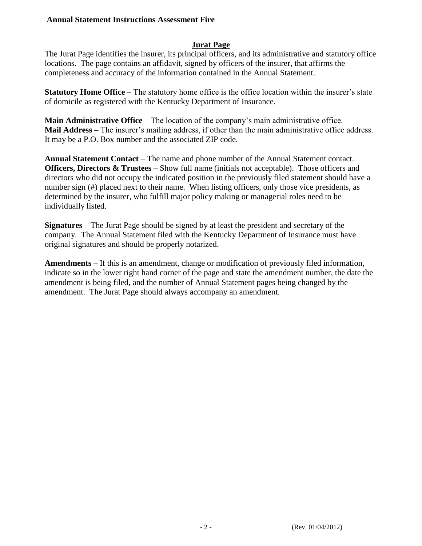### **Jurat Page**

The Jurat Page identifies the insurer, its principal officers, and its administrative and statutory office locations. The page contains an affidavit, signed by officers of the insurer, that affirms the completeness and accuracy of the information contained in the Annual Statement.

**Statutory Home Office** – The statutory home office is the office location within the insurer's state of domicile as registered with the Kentucky Department of Insurance.

**Main Administrative Office** – The location of the company's main administrative office. **Mail Address** – The insurer's mailing address, if other than the main administrative office address. It may be a P.O. Box number and the associated ZIP code.

**Annual Statement Contact** – The name and phone number of the Annual Statement contact. **Officers, Directors & Trustees** – Show full name (initials not acceptable). Those officers and directors who did not occupy the indicated position in the previously filed statement should have a number sign (#) placed next to their name. When listing officers, only those vice presidents, as determined by the insurer, who fulfill major policy making or managerial roles need to be individually listed.

**Signatures** – The Jurat Page should be signed by at least the president and secretary of the company. The Annual Statement filed with the Kentucky Department of Insurance must have original signatures and should be properly notarized.

**Amendments** – If this is an amendment, change or modification of previously filed information, indicate so in the lower right hand corner of the page and state the amendment number, the date the amendment is being filed, and the number of Annual Statement pages being changed by the amendment. The Jurat Page should always accompany an amendment.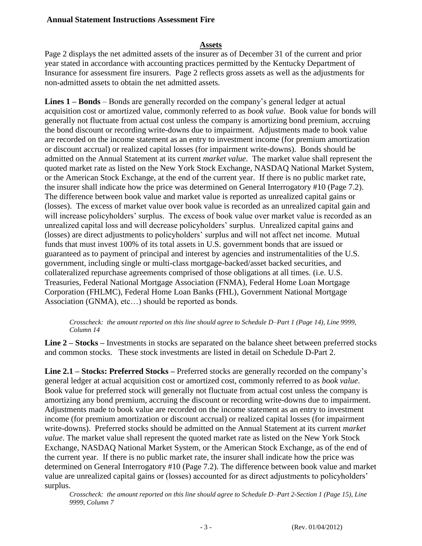#### **Assets**

Page 2 displays the net admitted assets of the insurer as of December 31 of the current and prior year stated in accordance with accounting practices permitted by the Kentucky Department of Insurance for assessment fire insurers. Page 2 reflects gross assets as well as the adjustments for non-admitted assets to obtain the net admitted assets.

**Lines 1 – Bonds** – Bonds are generally recorded on the company's general ledger at actual acquisition cost or amortized value, commonly referred to as *book value*. Book value for bonds will generally not fluctuate from actual cost unless the company is amortizing bond premium, accruing the bond discount or recording write-downs due to impairment. Adjustments made to book value are recorded on the income statement as an entry to investment income (for premium amortization or discount accrual) or realized capital losses (for impairment write-downs). Bonds should be admitted on the Annual Statement at its current *market value*. The market value shall represent the quoted market rate as listed on the New York Stock Exchange, NASDAQ National Market System, or the American Stock Exchange, at the end of the current year. If there is no public market rate, the insurer shall indicate how the price was determined on General Interrogatory #10 (Page 7.2). The difference between book value and market value is reported as unrealized capital gains or (losses). The excess of market value over book value is recorded as an unrealized capital gain and will increase policyholders' surplus. The excess of book value over market value is recorded as an unrealized capital loss and will decrease policyholders' surplus. Unrealized capital gains and (losses) are direct adjustments to policyholders' surplus and will not affect net income. Mutual funds that must invest 100% of its total assets in U.S. government bonds that are issued or guaranteed as to payment of principal and interest by agencies and instrumentalities of the U.S. government, including single or multi-class mortgage-backed/asset backed securities, and collateralized repurchase agreements comprised of those obligations at all times. (i.e. U.S. Treasuries, Federal National Mortgage Association (FNMA), Federal Home Loan Mortgage Corporation (FHLMC), Federal Home Loan Banks (FHL), Government National Mortgage Association (GNMA), etc...) should be reported as bonds.

#### *Crosscheck: the amount reported on this line should agree to Schedule D–Part 1 (Page 14), Line 9999, Column 14*

**Line 2 – Stocks –** Investments in stocks are separated on the balance sheet between preferred stocks and common stocks. These stock investments are listed in detail on Schedule D-Part 2.

**Line 2.1 – Stocks: Preferred Stocks –** Preferred stocks are generally recorded on the company's general ledger at actual acquisition cost or amortized cost, commonly referred to as *book value*. Book value for preferred stock will generally not fluctuate from actual cost unless the company is amortizing any bond premium, accruing the discount or recording write-downs due to impairment. Adjustments made to book value are recorded on the income statement as an entry to investment income (for premium amortization or discount accrual) or realized capital losses (for impairment write-downs). Preferred stocks should be admitted on the Annual Statement at its current *market value*. The market value shall represent the quoted market rate as listed on the New York Stock Exchange, NASDAQ National Market System, or the American Stock Exchange, as of the end of the current year. If there is no public market rate, the insurer shall indicate how the price was determined on General Interrogatory #10 (Page 7.2). The difference between book value and market value are unrealized capital gains or (losses) accounted for as direct adjustments to policyholders' surplus.

*Crosscheck: the amount reported on this line should agree to Schedule D–Part 2-Section 1 (Page 15), Line 9999, Column 7*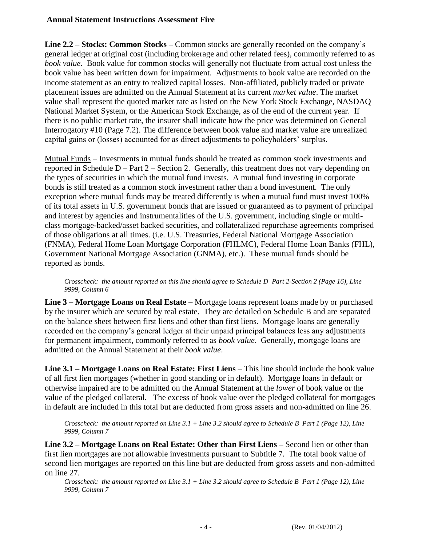**Line 2.2 – Stocks: Common Stocks –** Common stocks are generally recorded on the company's general ledger at original cost (including brokerage and other related fees), commonly referred to as *book value*. Book value for common stocks will generally not fluctuate from actual cost unless the book value has been written down for impairment. Adjustments to book value are recorded on the income statement as an entry to realized capital losses. Non-affiliated, publicly traded or private placement issues are admitted on the Annual Statement at its current *market value*. The market value shall represent the quoted market rate as listed on the New York Stock Exchange, NASDAQ National Market System, or the American Stock Exchange, as of the end of the current year. If there is no public market rate, the insurer shall indicate how the price was determined on General Interrogatory #10 (Page 7.2). The difference between book value and market value are unrealized capital gains or (losses) accounted for as direct adjustments to policyholders' surplus.

Mutual Funds – Investments in mutual funds should be treated as common stock investments and reported in Schedule D – Part 2 – Section 2. Generally, this treatment does not vary depending on the types of securities in which the mutual fund invests. A mutual fund investing in corporate bonds is still treated as a common stock investment rather than a bond investment. The only exception where mutual funds may be treated differently is when a mutual fund must invest 100% of its total assets in U.S. government bonds that are issued or guaranteed as to payment of principal and interest by agencies and instrumentalities of the U.S. government, including single or multiclass mortgage-backed/asset backed securities, and collateralized repurchase agreements comprised of those obligations at all times. (i.e. U.S. Treasuries, Federal National Mortgage Association (FNMA), Federal Home Loan Mortgage Corporation (FHLMC), Federal Home Loan Banks (FHL), Government National Mortgage Association (GNMA), etc.). These mutual funds should be reported as bonds.

*Crosscheck: the amount reported on this line should agree to Schedule D–Part 2-Section 2 (Page 16), Line 9999, Column 6*

**Line 3 – Mortgage Loans on Real Estate –** Mortgage loans represent loans made by or purchased by the insurer which are secured by real estate. They are detailed on Schedule B and are separated on the balance sheet between first liens and other than first liens. Mortgage loans are generally recorded on the company's general ledger at their unpaid principal balances less any adjustments for permanent impairment, commonly referred to as *book value*. Generally, mortgage loans are admitted on the Annual Statement at their *book value*.

Line 3.1 – Mortgage Loans on Real Estate: First Liens – This line should include the book value of all first lien mortgages (whether in good standing or in default). Mortgage loans in default or otherwise impaired are to be admitted on the Annual Statement at the *lower* of book value or the value of the pledged collateral. The excess of book value over the pledged collateral for mortgages in default are included in this total but are deducted from gross assets and non-admitted on line 26.

*Crosscheck: the amount reported on Line 3.1 + Line 3.2 should agree to Schedule B–Part 1 (Page 12), Line 9999, Column 7*

**Line 3.2 – Mortgage Loans on Real Estate: Other than First Liens –** Second lien or other than first lien mortgages are not allowable investments pursuant to Subtitle 7. The total book value of second lien mortgages are reported on this line but are deducted from gross assets and non-admitted on line 27.

*Crosscheck: the amount reported on Line 3.1 + Line 3.2 should agree to Schedule B–Part 1 (Page 12), Line 9999, Column 7*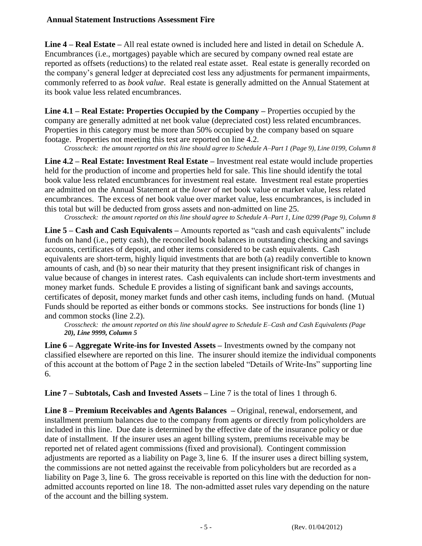**Line 4 – Real Estate –** All real estate owned is included here and listed in detail on Schedule A. Encumbrances (i.e., mortgages) payable which are secured by company owned real estate are reported as offsets (reductions) to the related real estate asset. Real estate is generally recorded on the company's general ledger at depreciated cost less any adjustments for permanent impairments, commonly referred to as *book value*. Real estate is generally admitted on the Annual Statement at its book value less related encumbrances.

**Line 4.1 – Real Estate: Properties Occupied by the Company –** Properties occupied by the company are generally admitted at net book value (depreciated cost) less related encumbrances. Properties in this category must be more than 50% occupied by the company based on square footage. Properties not meeting this test are reported on line 4.2.

*Crosscheck: the amount reported on this line should agree to Schedule A–Part 1 (Page 9), Line 0199, Column 8*

**Line 4.2 – Real Estate: Investment Real Estate –** Investment real estate would include properties held for the production of income and properties held for sale. This line should identify the total book value less related encumbrances for investment real estate. Investment real estate properties are admitted on the Annual Statement at the *lower* of net book value or market value, less related encumbrances. The excess of net book value over market value, less encumbrances, is included in this total but will be deducted from gross assets and non-admitted on line 25.

*Crosscheck: the amount reported on this line should agree to Schedule A–Part 1, Line 0299 (Page 9), Column 8*

**Line 5 – Cash and Cash Equivalents –** Amounts reported as "cash and cash equivalents" include funds on hand (i.e., petty cash), the reconciled book balances in outstanding checking and savings accounts, certificates of deposit, and other items considered to be cash equivalents. Cash equivalents are short-term, highly liquid investments that are both (a) readily convertible to known amounts of cash, and (b) so near their maturity that they present insignificant risk of changes in value because of changes in interest rates. Cash equivalents can include short-term investments and money market funds. Schedule E provides a listing of significant bank and savings accounts, certificates of deposit, money market funds and other cash items, including funds on hand. (Mutual Funds should be reported as either bonds or commons stocks. See instructions for bonds (line 1) and common stocks (line 2.2).

*Crosscheck: the amount reported on this line should agree to Schedule E–Cash and Cash Equivalents (Page 20), Line 9999, Column 5*

**Line 6 – Aggregate Write-ins for Invested Assets –** Investments owned by the company not classified elsewhere are reported on this line. The insurer should itemize the individual components of this account at the bottom of Page 2 in the section labeled "Details of Write-Ins" supporting line 6.

**Line 7 – Subtotals, Cash and Invested Assets –** Line 7 is the total of lines 1 through 6.

**Line 8 – Premium Receivables and Agents Balances –** Original, renewal, endorsement, and installment premium balances due to the company from agents or directly from policyholders are included in this line. Due date is determined by the effective date of the insurance policy or due date of installment. If the insurer uses an agent billing system, premiums receivable may be reported net of related agent commissions (fixed and provisional). Contingent commission adjustments are reported as a liability on Page 3, line 6. If the insurer uses a direct billing system, the commissions are not netted against the receivable from policyholders but are recorded as a liability on Page 3, line 6. The gross receivable is reported on this line with the deduction for nonadmitted accounts reported on line 18. The non-admitted asset rules vary depending on the nature of the account and the billing system.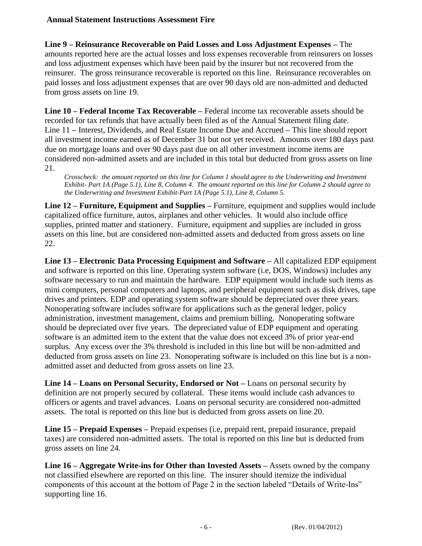**Line 9 – Reinsurance Recoverable on Paid Losses and Loss Adjustment Expenses –** The amounts reported here are the actual losses and loss expenses recoverable from reinsurers on losses and loss adjustment expenses which have been paid by the insurer but not recovered from the reinsurer. The gross reinsurance recoverable is reported on this line. Reinsurance recoverables on paid losses and loss adjustment expenses that are over 90 days old are non-admitted and deducted from gross assets on line 19.

**Line 10 – Federal Income Tax Recoverable –** Federal income tax recoverable assets should be recorded for tax refunds that have actually been filed as of the Annual Statement filing date. Line 11 **–** Interest, Dividends, and Real Estate Income Due and Accrued **–** This line should report all investment income earned as of December 31 but not yet received. Amounts over 180 days past due on mortgage loans and over 90 days past due on all other investment income items are considered non-admitted assets and are included in this total but deducted from gross assets on line 21.

*Crosscheck: the amount reported on this line for Column 1 should agree to the Underwriting and Investment Exhibit- Part 1A (Page 5.1), Line 8, Column 4. The amount reported on this line for Column 2 should agree to the Underwriting and Investment Exhibit-Part 1A (Page 5.1), Line 8, Column 5.*

**Line 12 – Furniture, Equipment and Supplies –** Furniture, equipment and supplies would include capitalized office furniture, autos, airplanes and other vehicles. It would also include office supplies, printed matter and stationery. Furniture, equipment and supplies are included in gross assets on this line, but are considered non-admitted assets and deducted from gross assets on line 22.

**Line 13 – Electronic Data Processing Equipment and Software –** All capitalized EDP equipment and software is reported on this line. Operating system software (i.e, DOS, Windows) includes any software necessary to run and maintain the hardware. EDP equipment would include such items as mini computers, personal computers and laptops, and peripheral equipment such as disk drives, tape drives and printers. EDP and operating system software should be depreciated over three years. Nonoperating software includes software for applications such as the general ledger, policy administration, investment management, claims and premium billing. Nonoperating software should be depreciated over five years. The depreciated value of EDP equipment and operating software is an admitted item to the extent that the value does not exceed 3% of prior year-end surplus. Any excess over the 3% threshold is included in this line but will be non-admitted and deducted from gross assets on line 23. Nonoperating software is included on this line but is a nonadmitted asset and deducted from gross assets on line 23.

**Line 14 – Loans on Personal Security, Endorsed or Not –** Loans on personal security by definition are not properly secured by collateral. These items would include cash advances to officers or agents and travel advances. Loans on personal security are considered non-admitted assets. The total is reported on this line but is deducted from gross assets on line 20.

**Line 15 – Prepaid Expenses –** Prepaid expenses (i.e, prepaid rent, prepaid insurance, prepaid taxes) are considered non-admitted assets. The total is reported on this line but is deducted from gross assets on line 24.

**Line 16 – Aggregate Write-ins for Other than Invested Assets –** Assets owned by the company not classified elsewhere are reported on this line. The insurer should itemize the individual components of this account at the bottom of Page 2 in the section labeled "Details of Write-Ins" supporting line 16.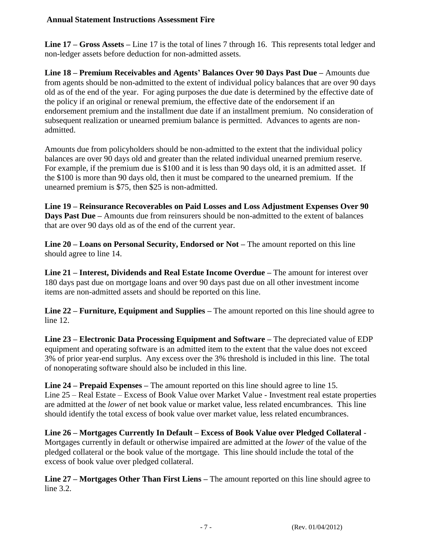**Line 17 – Gross Assets –** Line 17 is the total of lines 7 through 16. This represents total ledger and non-ledger assets before deduction for non-admitted assets.

**Line 18 – Premium Receivables and Agents' Balances Over 90 Days Past Due –** Amounts due from agents should be non-admitted to the extent of individual policy balances that are over 90 days old as of the end of the year. For aging purposes the due date is determined by the effective date of the policy if an original or renewal premium, the effective date of the endorsement if an endorsement premium and the installment due date if an installment premium. No consideration of subsequent realization or unearned premium balance is permitted. Advances to agents are nonadmitted.

Amounts due from policyholders should be non-admitted to the extent that the individual policy balances are over 90 days old and greater than the related individual unearned premium reserve. For example, if the premium due is \$100 and it is less than 90 days old, it is an admitted asset. If the \$100 is more than 90 days old, then it must be compared to the unearned premium. If the unearned premium is \$75, then \$25 is non-admitted.

**Line 19 – Reinsurance Recoverables on Paid Losses and Loss Adjustment Expenses Over 90 Days Past Due –** Amounts due from reinsurers should be non-admitted to the extent of balances that are over 90 days old as of the end of the current year.

**Line 20 – Loans on Personal Security, Endorsed or Not –** The amount reported on this line should agree to line 14.

**Line 21 – Interest, Dividends and Real Estate Income Overdue –** The amount for interest over 180 days past due on mortgage loans and over 90 days past due on all other investment income items are non-admitted assets and should be reported on this line.

**Line 22 – Furniture, Equipment and Supplies –** The amount reported on this line should agree to line 12.

**Line 23 – Electronic Data Processing Equipment and Software –** The depreciated value of EDP equipment and operating software is an admitted item to the extent that the value does not exceed 3% of prior year-end surplus. Any excess over the 3% threshold is included in this line. The total of nonoperating software should also be included in this line.

**Line 24 – Prepaid Expenses –** The amount reported on this line should agree to line 15. Line 25 – Real Estate – Excess of Book Value over Market Value *-* Investment real estate properties are admitted at the *lower* of net book value or market value, less related encumbrances. This line should identify the total excess of book value over market value, less related encumbrances.

**Line 26 – Mortgages Currently In Default – Excess of Book Value over Pledged Collateral** *-* Mortgages currently in default or otherwise impaired are admitted at the *lower* of the value of the pledged collateral or the book value of the mortgage. This line should include the total of the excess of book value over pledged collateral.

**Line 27 – Mortgages Other Than First Liens –** The amount reported on this line should agree to line 3.2.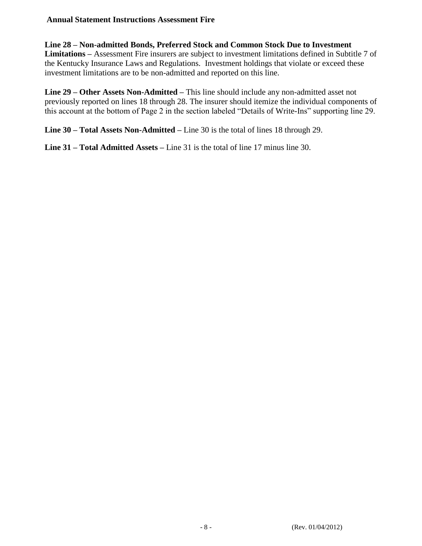### **Line 28 – Non-admitted Bonds, Preferred Stock and Common Stock Due to Investment**

**Limitations –** Assessment Fire insurers are subject to investment limitations defined in Subtitle 7 of the Kentucky Insurance Laws and Regulations. Investment holdings that violate or exceed these investment limitations are to be non-admitted and reported on this line.

**Line 29 – Other Assets Non-Admitted –** This line should include any non-admitted asset not previously reported on lines 18 through 28. The insurer should itemize the individual components of this account at the bottom of Page 2 in the section labeled "Details of Write-Ins" supporting line 29.

**Line 30 – Total Assets Non-Admitted –** Line 30 is the total of lines 18 through 29.

**Line 31 – Total Admitted Assets –** Line 31 is the total of line 17 minus line 30.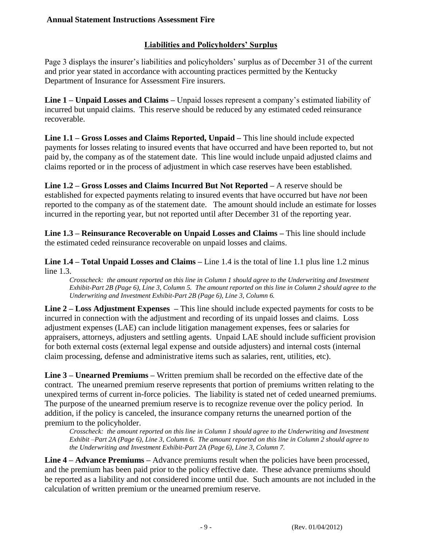# **Liabilities and Policyholders' Surplus**

Page 3 displays the insurer's liabilities and policyholders' surplus as of December 31 of the current and prior year stated in accordance with accounting practices permitted by the Kentucky Department of Insurance for Assessment Fire insurers.

**Line 1 – Unpaid Losses and Claims –** Unpaid losses represent a company's estimated liability of incurred but unpaid claims. This reserve should be reduced by any estimated ceded reinsurance recoverable.

**Line 1.1 – Gross Losses and Claims Reported, Unpaid –** This line should include expected payments for losses relating to insured events that have occurred and have been reported to, but not paid by, the company as of the statement date. This line would include unpaid adjusted claims and claims reported or in the process of adjustment in which case reserves have been established.

**Line 1.2 – Gross Losses and Claims Incurred But Not Reported –** A reserve should be established for expected payments relating to insured events that have occurred but have *not* been reported to the company as of the statement date. The amount should include an estimate for losses incurred in the reporting year, but not reported until after December 31 of the reporting year.

**Line 1.3 – Reinsurance Recoverable on Unpaid Losses and Claims –** This line should include the estimated ceded reinsurance recoverable on unpaid losses and claims.

**Line 1.4 – Total Unpaid Losses and Claims –** Line 1.4 is the total of line 1.1 plus line 1.2 minus line 1.3.

*Crosscheck: the amount reported on this line in Column 1 should agree to the Underwriting and Investment Exhibit-Part 2B (Page 6), Line 3, Column 5. The amount reported on this line in Column 2 should agree to the Underwriting and Investment Exhibit-Part 2B (Page 6), Line 3, Column 6.*

**Line 2 – Loss Adjustment Expenses –** This line should include expected payments for costs to be incurred in connection with the adjustment and recording of its unpaid losses and claims. Loss adjustment expenses (LAE) can include litigation management expenses, fees or salaries for appraisers, attorneys, adjusters and settling agents. Unpaid LAE should include sufficient provision for both external costs (external legal expense and outside adjusters) and internal costs (internal claim processing, defense and administrative items such as salaries, rent, utilities, etc).

**Line 3 – Unearned Premiums –** Written premium shall be recorded on the effective date of the contract. The unearned premium reserve represents that portion of premiums written relating to the unexpired terms of current in-force policies. The liability is stated net of ceded unearned premiums. The purpose of the unearned premium reserve is to recognize revenue over the policy period. In addition, if the policy is canceled, the insurance company returns the unearned portion of the premium to the policyholder.

*Crosscheck: the amount reported on this line in Column 1 should agree to the Underwriting and Investment Exhibit –Part 2A (Page 6), Line 3, Column 6. The amount reported on this line in Column 2 should agree to the Underwriting and Investment Exhibit-Part 2A (Page 6), Line 3, Column 7.*

**Line 4 – Advance Premiums –** Advance premiums result when the policies have been processed, and the premium has been paid prior to the policy effective date. These advance premiums should be reported as a liability and not considered income until due. Such amounts are not included in the calculation of written premium or the unearned premium reserve.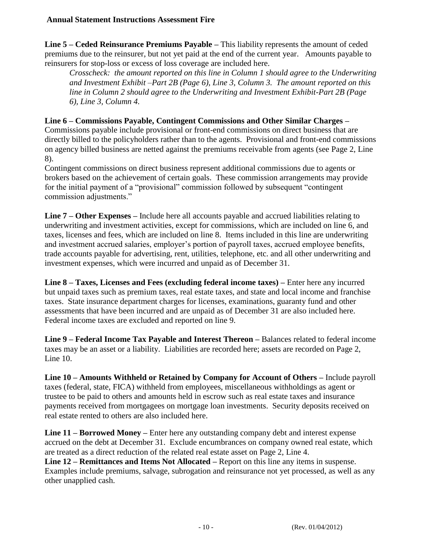**Line 5 – Ceded Reinsurance Premiums Payable –** This liability represents the amount of ceded premiums due to the reinsurer, but not yet paid at the end of the current year. Amounts payable to reinsurers for stop-loss or excess of loss coverage are included here.

*Crosscheck: the amount reported on this line in Column 1 should agree to the Underwriting and Investment Exhibit –Part 2B (Page 6), Line 3, Column 3. The amount reported on this line in Column 2 should agree to the Underwriting and Investment Exhibit-Part 2B (Page 6), Line 3, Column 4.*

## **Line 6 – Commissions Payable, Contingent Commissions and Other Similar Charges –**

Commissions payable include provisional or front-end commissions on direct business that are directly billed to the policyholders rather than to the agents. Provisional and front-end commissions on agency billed business are netted against the premiums receivable from agents (see Page 2, Line 8).

Contingent commissions on direct business represent additional commissions due to agents or brokers based on the achievement of certain goals. These commission arrangements may provide for the initial payment of a "provisional" commission followed by subsequent "contingent commission adjustments."

**Line 7 – Other Expenses –** Include here all accounts payable and accrued liabilities relating to underwriting and investment activities, except for commissions, which are included on line 6, and taxes, licenses and fees, which are included on line 8. Items included in this line are underwriting and investment accrued salaries, employer's portion of payroll taxes, accrued employee benefits, trade accounts payable for advertising, rent, utilities, telephone, etc. and all other underwriting and investment expenses, which were incurred and unpaid as of December 31.

**Line 8 – Taxes, Licenses and Fees (excluding federal income taxes) –** Enter here any incurred but unpaid taxes such as premium taxes, real estate taxes, and state and local income and franchise taxes. State insurance department charges for licenses, examinations, guaranty fund and other assessments that have been incurred and are unpaid as of December 31 are also included here. Federal income taxes are excluded and reported on line 9.

**Line 9 – Federal Income Tax Payable and Interest Thereon –** Balances related to federal income taxes may be an asset or a liability. Liabilities are recorded here; assets are recorded on Page 2, Line 10.

**Line 10 – Amounts Withheld or Retained by Company for Account of Others –** Include payroll taxes (federal, state, FICA) withheld from employees, miscellaneous withholdings as agent or trustee to be paid to others and amounts held in escrow such as real estate taxes and insurance payments received from mortgagees on mortgage loan investments. Security deposits received on real estate rented to others are also included here.

**Line 11 – Borrowed Money –** Enter here any outstanding company debt and interest expense accrued on the debt at December 31. Exclude encumbrances on company owned real estate, which are treated as a direct reduction of the related real estate asset on Page 2, Line 4.

**Line 12 – Remittances and Items Not Allocated –** Report on this line any items in suspense. Examples include premiums, salvage, subrogation and reinsurance not yet processed, as well as any other unapplied cash.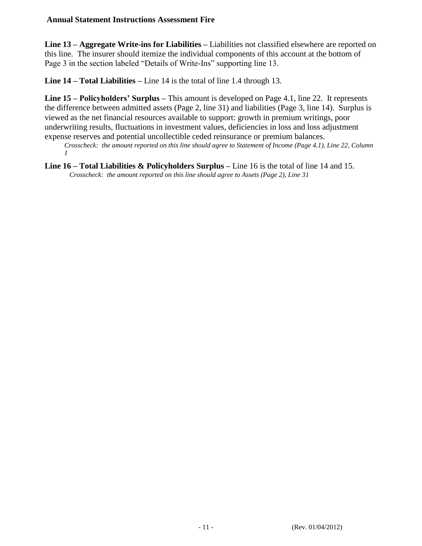**Line 13 – Aggregate Write-ins for Liabilities –** Liabilities not classified elsewhere are reported on this line. The insurer should itemize the individual components of this account at the bottom of Page 3 in the section labeled "Details of Write-Ins" supporting line 13.

**Line 14 – Total Liabilities –** Line 14 is the total of line 1.4 through 13.

**Line 15 – Policyholders' Surplus –** This amount is developed on Page 4.1, line 22. It represents the difference between admitted assets (Page 2, line 31) and liabilities (Page 3, line 14). Surplus is viewed as the net financial resources available to support: growth in premium writings, poor underwriting results, fluctuations in investment values, deficiencies in loss and loss adjustment expense reserves and potential uncollectible ceded reinsurance or premium balances.

*Crosscheck: the amount reported on this line should agree to Statement of Income (Page 4.1), Line 22, Column 1*

**Line 16 – Total Liabilities & Policyholders Surplus –** Line 16 is the total of line 14 and 15. *Crosscheck: the amount reported on this line should agree to Assets (Page 2), Line 31*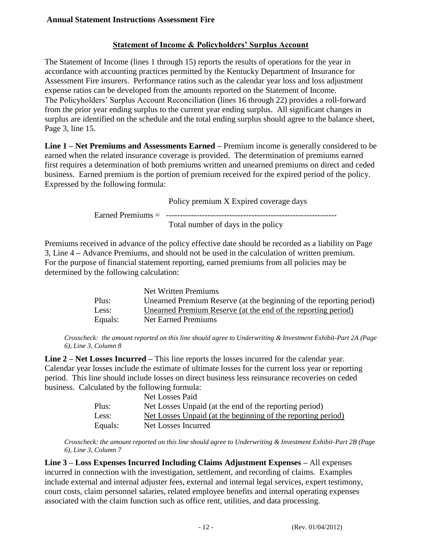## **Statement of Income & Policyholders' Surplus Account**

The Statement of Income (lines 1 through 15) reports the results of operations for the year in accordance with accounting practices permitted by the Kentucky Department of Insurance for Assessment Fire insurers. Performance ratios such as the calendar year loss and loss adjustment expense ratios can be developed from the amounts reported on the Statement of Income. The Policyholders' Surplus Account Reconciliation (lines 16 through 22) provides a roll-forward from the prior year ending surplus to the current year ending surplus. All significant changes in surplus are identified on the schedule and the total ending surplus should agree to the balance sheet, Page 3, line 15.

**Line 1 – Net Premiums and Assessments Earned –** Premium income is generally considered to be earned when the related insurance coverage is provided. The determination of premiums earned first requires a determination of both premiums written and unearned premiums on direct and ceded business. Earned premium is the portion of premium received for the expired period of the policy. Expressed by the following formula:

Policy premium X Expired coverage days

Earned Premiums = -------------------

Total number of days in the policy

Premiums received in advance of the policy effective date should be recorded as a liability on Page 3, Line 4 **–** Advance Premiums, and should not be used in the calculation of written premium. For the purpose of financial statement reporting, earned premiums from all policies may be determined by the following calculation:

|         | Net Written Premiums                                                |
|---------|---------------------------------------------------------------------|
| Plus:   | Unearned Premium Reserve (at the beginning of the reporting period) |
| Less:   | Unearned Premium Reserve (at the end of the reporting period)       |
| Equals: | Net Earned Premiums                                                 |

*Crosscheck: the amount reported on this line should agree to Underwriting & Investment Exhibit-Part 2A (Page 6), Line 3, Column 8* 

**Line 2 – Net Losses Incurred –** This line reports the losses incurred for the calendar year. Calendar year losses include the estimate of ultimate losses for the current loss year or reporting period. This line should include losses on direct business less reinsurance recoveries on ceded business. Calculated by the following formula:

|         | Net Losses Paid                                              |
|---------|--------------------------------------------------------------|
| Plus:   | Net Losses Unpaid (at the end of the reporting period)       |
| Less:   | Net Losses Unpaid (at the beginning of the reporting period) |
| Equals: | Net Losses Incurred                                          |

*Crosscheck: the amount reported on this line should agree to Underwriting & Investment Exhibit-Part 2B (Page 6), Line 3, Column 7* 

**Line 3 – Loss Expenses Incurred Including Claims Adjustment Expenses –** All expenses incurred in connection with the investigation, settlement, and recording of claims. Examples include external and internal adjuster fees, external and internal legal services, expert testimony, court costs, claim personnel salaries, related employee benefits and internal operating expenses associated with the claim function such as office rent, utilities, and data processing.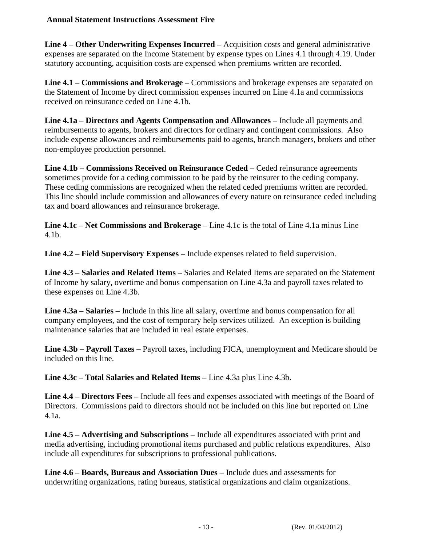**Line 4 – Other Underwriting Expenses Incurred –** Acquisition costs and general administrative expenses are separated on the Income Statement by expense types on Lines 4.1 through 4.19. Under statutory accounting, acquisition costs are expensed when premiums written are recorded.

**Line 4.1 – Commissions and Brokerage –** Commissions and brokerage expenses are separated on the Statement of Income by direct commission expenses incurred on Line 4.1a and commissions received on reinsurance ceded on Line 4.1b.

**Line 4.1a – Directors and Agents Compensation and Allowances –** Include all payments and reimbursements to agents, brokers and directors for ordinary and contingent commissions. Also include expense allowances and reimbursements paid to agents, branch managers, brokers and other non-employee production personnel.

**Line 4.1b – Commissions Received on Reinsurance Ceded –** Ceded reinsurance agreements sometimes provide for a ceding commission to be paid by the reinsurer to the ceding company. These ceding commissions are recognized when the related ceded premiums written are recorded. This line should include commission and allowances of every nature on reinsurance ceded including tax and board allowances and reinsurance brokerage.

**Line 4.1c – Net Commissions and Brokerage –** Line 4.1c is the total of Line 4.1a minus Line 4.1b.

**Line 4.2 – Field Supervisory Expenses –** Include expenses related to field supervision.

**Line 4.3 – Salaries and Related Items –** Salaries and Related Items are separated on the Statement of Income by salary, overtime and bonus compensation on Line 4.3a and payroll taxes related to these expenses on Line 4.3b.

**Line 4.3a – Salaries –** Include in this line all salary, overtime and bonus compensation for all company employees, and the cost of temporary help services utilized. An exception is building maintenance salaries that are included in real estate expenses.

**Line 4.3b – Payroll Taxes –** Payroll taxes, including FICA, unemployment and Medicare should be included on this line.

**Line 4.3c – Total Salaries and Related Items –** Line 4.3a plus Line 4.3b.

**Line 4.4 – Directors Fees –** Include all fees and expenses associated with meetings of the Board of Directors. Commissions paid to directors should not be included on this line but reported on Line 4.1a.

**Line 4.5 – Advertising and Subscriptions –** Include all expenditures associated with print and media advertising, including promotional items purchased and public relations expenditures. Also include all expenditures for subscriptions to professional publications.

**Line 4.6 – Boards, Bureaus and Association Dues –** Include dues and assessments for underwriting organizations, rating bureaus, statistical organizations and claim organizations.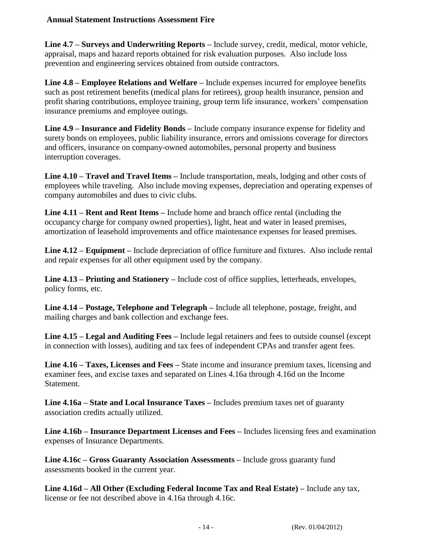**Line 4.7 – Surveys and Underwriting Reports –** Include survey, credit, medical, motor vehicle, appraisal, maps and hazard reports obtained for risk evaluation purposes. Also include loss prevention and engineering services obtained from outside contractors.

**Line 4.8 – Employee Relations and Welfare –** Include expenses incurred for employee benefits such as post retirement benefits (medical plans for retirees), group health insurance, pension and profit sharing contributions, employee training, group term life insurance, workers' compensation insurance premiums and employee outings.

**Line 4.9 – Insurance and Fidelity Bonds –** Include company insurance expense for fidelity and surety bonds on employees, public liability insurance, errors and omissions coverage for directors and officers, insurance on company-owned automobiles, personal property and business interruption coverages.

**Line 4.10 – Travel and Travel Items –** Include transportation, meals, lodging and other costs of employees while traveling. Also include moving expenses, depreciation and operating expenses of company automobiles and dues to civic clubs.

**Line 4.11 – Rent and Rent Items –** Include home and branch office rental (including the occupancy charge for company owned properties), light, heat and water in leased premises, amortization of leasehold improvements and office maintenance expenses for leased premises.

**Line 4.12 – Equipment –** Include depreciation of office furniture and fixtures. Also include rental and repair expenses for all other equipment used by the company.

**Line 4.13 – Printing and Stationery –** Include cost of office supplies, letterheads, envelopes, policy forms, etc.

**Line 4.14 – Postage, Telephone and Telegraph –** Include all telephone, postage, freight, and mailing charges and bank collection and exchange fees.

**Line 4.15 – Legal and Auditing Fees –** Include legal retainers and fees to outside counsel (except in connection with losses), auditing and tax fees of independent CPAs and transfer agent fees.

**Line 4.16 – Taxes, Licenses and Fees –** State income and insurance premium taxes, licensing and examiner fees, and excise taxes and separated on Lines 4.16a through 4.16d on the Income Statement.

**Line 4.16a – State and Local Insurance Taxes –** Includes premium taxes net of guaranty association credits actually utilized.

**Line 4.16b – Insurance Department Licenses and Fees –** Includes licensing fees and examination expenses of Insurance Departments.

**Line 4.16c – Gross Guaranty Association Assessments –** Include gross guaranty fund assessments booked in the current year.

**Line 4.16d – All Other (Excluding Federal Income Tax and Real Estate) –** Include any tax, license or fee not described above in 4.16a through 4.16c.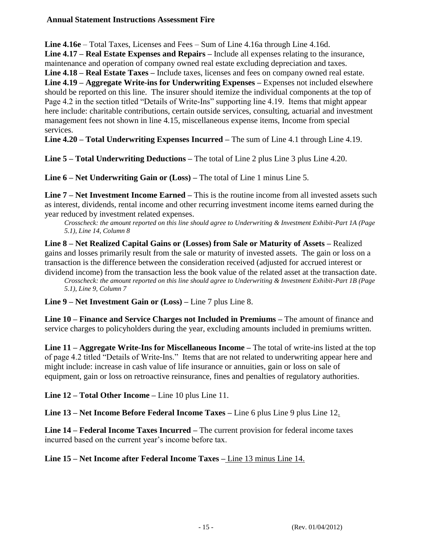**Line 4.16e** – Total Taxes, Licenses and Fees – Sum of Line 4.16a through Line 4.16d.

**Line 4.17 – Real Estate Expenses and Repairs –** Include all expenses relating to the insurance, maintenance and operation of company owned real estate excluding depreciation and taxes.

**Line 4.18 – Real Estate Taxes –** Include taxes, licenses and fees on company owned real estate. **Line 4.19 – Aggregate Write-ins for Underwriting Expenses –** Expenses not included elsewhere should be reported on this line. The insurer should itemize the individual components at the top of Page 4.2 in the section titled "Details of Write-Ins" supporting line 4.19. Items that might appear here include: charitable contributions, certain outside services, consulting, actuarial and investment management fees not shown in line 4.15, miscellaneous expense items, Income from special services.

**Line 4.20 – Total Underwriting Expenses Incurred –** The sum of Line 4.1 through Line 4.19.

**Line 5 – Total Underwriting Deductions –** The total of Line 2 plus Line 3 plus Line 4.20.

**Line 6 – Net Underwriting Gain or (Loss) –** The total of Line 1 minus Line 5.

**Line 7 – Net Investment Income Earned –** This is the routine income from all invested assets such as interest, dividends, rental income and other recurring investment income items earned during the year reduced by investment related expenses.

*Crosscheck: the amount reported on this line should agree to Underwriting & Investment Exhibit-Part 1A (Page 5.1), Line 14, Column 8* 

**Line 8 – Net Realized Capital Gains or (Losses) from Sale or Maturity of Assets –** Realized gains and losses primarily result from the sale or maturity of invested assets. The gain or loss on a transaction is the difference between the consideration received (adjusted for accrued interest or dividend income) from the transaction less the book value of the related asset at the transaction date.

*Crosscheck: the amount reported on this line should agree to Underwriting & Investment Exhibit-Part 1B (Page 5.1), Line 9, Column 7*

**Line 9 – Net Investment Gain or (Loss) –** Line 7 plus Line 8.

**Line 10 – Finance and Service Charges not Included in Premiums –** The amount of finance and service charges to policyholders during the year, excluding amounts included in premiums written.

**Line 11 – Aggregate Write-Ins for Miscellaneous Income –** The total of write-ins listed at the top of page 4.2 titled "Details of Write-Ins." Items that are not related to underwriting appear here and might include: increase in cash value of life insurance or annuities, gain or loss on sale of equipment, gain or loss on retroactive reinsurance, fines and penalties of regulatory authorities.

**Line 12 – Total Other Income –** Line 10 plus Line 11.

**Line 13 – Net Income Before Federal Income Taxes –** Line 6 plus Line 9 plus Line 12.

**Line 14 – Federal Income Taxes Incurred –** The current provision for federal income taxes incurred based on the current year's income before tax.

# **Line 15 – Net Income after Federal Income Taxes –** Line 13 minus Line 14.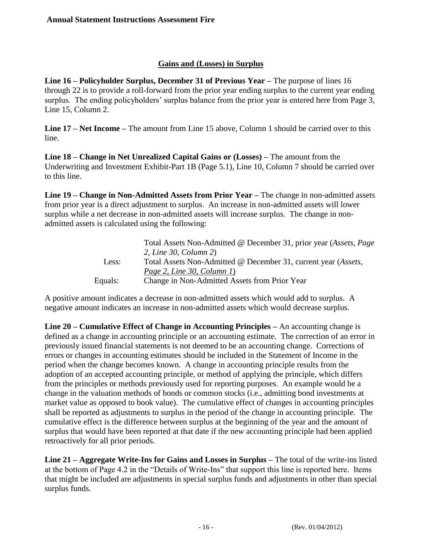## **Gains and (Losses) in Surplus**

**Line 16 – Policyholder Surplus, December 31 of Previous Year –** The purpose of lines 16 through 22 is to provide a roll-forward from the prior year ending surplus to the current year ending surplus. The ending policyholders' surplus balance from the prior year is entered here from Page 3, Line 15, Column 2.

**Line 17 – Net Income –** The amount from Line 15 above, Column 1 should be carried over to this line.

**Line 18 – Change in Net Unrealized Capital Gains or (Losses) –** The amount from the Underwriting and Investment Exhibit-Part 1B (Page 5.1), Line 10, Column 7 should be carried over to this line.

**Line 19 – Change in Non-Admitted Assets from Prior Year –** The change in non-admitted assets from prior year is a direct adjustment to surplus. An increase in non-admitted assets will lower surplus while a net decrease in non-admitted assets will increase surplus. The change in nonadmitted assets is calculated using the following:

|         | Total Assets Non-Admitted @ December 31, prior year (Assets, Page       |
|---------|-------------------------------------------------------------------------|
|         | 2, Line 30, Column 2)                                                   |
| Less:   | Total Assets Non-Admitted @ December 31, current year ( <i>Assets</i> , |
|         | Page 2, Line 30, Column $I$ )                                           |
| Equals: | Change in Non-Admitted Assets from Prior Year                           |

A positive amount indicates a decrease in non-admitted assets which would add to surplus. A negative amount indicates an increase in non-admitted assets which would decrease surplus.

**Line 20 – Cumulative Effect of Change in Accounting Principles –** An accounting change is defined as a change in accounting principle or an accounting estimate. The correction of an error in previously issued financial statements is not deemed to be an accounting change. Corrections of errors or changes in accounting estimates should be included in the Statement of Income in the period when the change becomes known. A change in accounting principle results from the adoption of an accepted accounting principle, or method of applying the principle, which differs from the principles or methods previously used for reporting purposes. An example would be a change in the valuation methods of bonds or common stocks (i.e., admitting bond investments at market value as opposed to book value). The cumulative effect of changes in accounting principles shall be reported as adjustments to surplus in the period of the change in accounting principle. The cumulative effect is the difference between surplus at the beginning of the year and the amount of surplus that would have been reported at that date if the new accounting principle had been applied retroactively for all prior periods.

**Line 21 – Aggregate Write-Ins for Gains and Losses in Surplus –** The total of the write-ins listed at the bottom of Page 4.2 in the "Details of Write-Ins" that support this line is reported here. Items that might be included are adjustments in special surplus funds and adjustments in other than special surplus funds.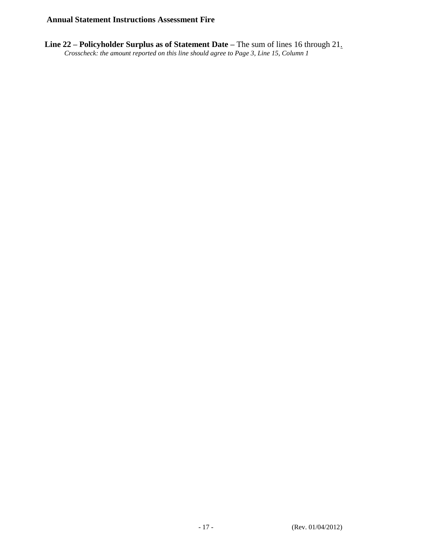**Line 22 – Policyholder Surplus as of Statement Date –** The sum of lines 16 through 21. *Crosscheck: the amount reported on this line should agree to Page 3, Line 15, Column 1*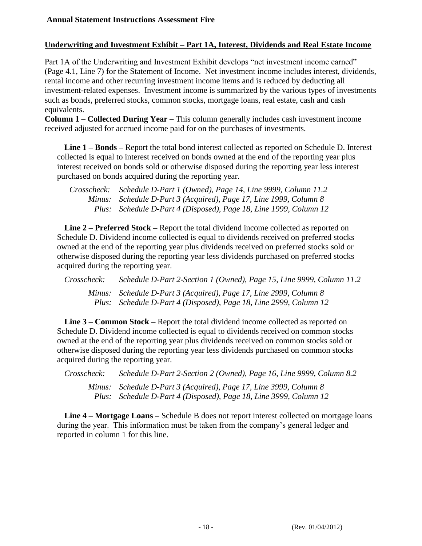## **Underwriting and Investment Exhibit – Part 1A, Interest, Dividends and Real Estate Income**

Part 1A of the Underwriting and Investment Exhibit develops "net investment income earned" (Page 4.1, Line 7) for the Statement of Income. Net investment income includes interest, dividends, rental income and other recurring investment income items and is reduced by deducting all investment-related expenses. Investment income is summarized by the various types of investments such as bonds, preferred stocks, common stocks, mortgage loans, real estate, cash and cash equivalents.

**Column 1 – Collected During Year –** This column generally includes cash investment income received adjusted for accrued income paid for on the purchases of investments.

**Line 1 – Bonds –** Report the total bond interest collected as reported on Schedule D. Interest collected is equal to interest received on bonds owned at the end of the reporting year plus interest received on bonds sold or otherwise disposed during the reporting year less interest purchased on bonds acquired during the reporting year.

*Crosscheck: Schedule D-Part 1 (Owned), Page 14, Line 9999, Column 11.2 Minus: Schedule D-Part 3 (Acquired), Page 17, Line 1999, Column 8 Plus: Schedule D-Part 4 (Disposed), Page 18, Line 1999, Column 12*

**Line 2 – Preferred Stock –** Report the total dividend income collected as reported on Schedule D. Dividend income collected is equal to dividends received on preferred stocks owned at the end of the reporting year plus dividends received on preferred stocks sold or otherwise disposed during the reporting year less dividends purchased on preferred stocks acquired during the reporting year.

| Crosscheck: | Schedule D-Part 2-Section 1 (Owned), Page 15, Line 9999, Column 11.2                                                                   |
|-------------|----------------------------------------------------------------------------------------------------------------------------------------|
|             | Minus: Schedule D-Part 3 (Acquired), Page 17, Line 2999, Column 8<br>Plus: Schedule D-Part 4 (Disposed), Page 18, Line 2999, Column 12 |

**Line 3 – Common Stock –** Report the total dividend income collected as reported on Schedule D. Dividend income collected is equal to dividends received on common stocks owned at the end of the reporting year plus dividends received on common stocks sold or otherwise disposed during the reporting year less dividends purchased on common stocks acquired during the reporting year.

*Crosscheck: Schedule D-Part 2-Section 2 (Owned), Page 16, Line 9999, Column 8.2 Minus: Schedule D-Part 3 (Acquired), Page 17, Line 3999, Column 8 Plus: Schedule D-Part 4 (Disposed), Page 18, Line 3999, Column 12*

**Line 4 – Mortgage Loans –** Schedule B does not report interest collected on mortgage loans during the year. This information must be taken from the company's general ledger and reported in column 1 for this line.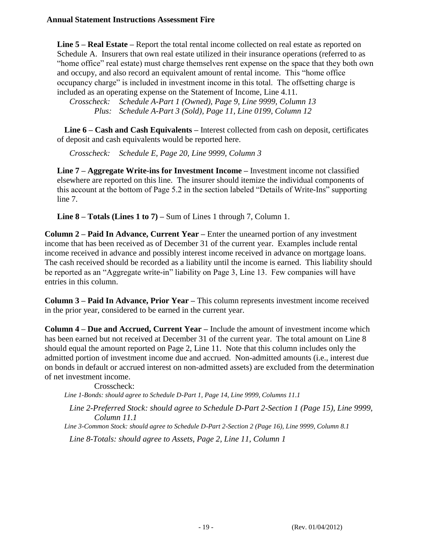**Line 5 – Real Estate –** Report the total rental income collected on real estate as reported on Schedule A. Insurers that own real estate utilized in their insurance operations (referred to as "home office" real estate) must charge themselves rent expense on the space that they both own and occupy, and also record an equivalent amount of rental income. This "home office occupancy charge" is included in investment income in this total. The offsetting charge is included as an operating expense on the Statement of Income, Line 4.11.

*Crosscheck: Schedule A-Part 1 (Owned), Page 9, Line 9999, Column 13 Plus: Schedule A-Part 3 (Sold), Page 11, Line 0199, Column 12*

**Line 6 – Cash and Cash Equivalents –** Interest collected from cash on deposit, certificates of deposit and cash equivalents would be reported here.

*Crosscheck: Schedule E, Page 20, Line 9999, Column 3*

**Line 7 – Aggregate Write-ins for Investment Income –** Investment income not classified elsewhere are reported on this line. The insurer should itemize the individual components of this account at the bottom of Page 5.2 in the section labeled "Details of Write-Ins" supporting line 7.

**Line 8 – Totals (Lines 1 to 7) –** Sum of Lines 1 through 7, Column 1.

**Column 2 – Paid In Advance, Current Year –** Enter the unearned portion of any investment income that has been received as of December 31 of the current year. Examples include rental income received in advance and possibly interest income received in advance on mortgage loans. The cash received should be recorded as a liability until the income is earned. This liability should be reported as an "Aggregate write-in" liability on Page 3, Line 13. Few companies will have entries in this column.

**Column 3 – Paid In Advance, Prior Year –** This column represents investment income received in the prior year, considered to be earned in the current year.

**Column 4 – Due and Accrued, Current Year –** Include the amount of investment income which has been earned but not received at December 31 of the current year. The total amount on Line 8 should equal the amount reported on Page 2, Line 11. Note that this column includes only the admitted portion of investment income due and accrued. Non-admitted amounts (i.e., interest due on bonds in default or accrued interest on non-admitted assets) are excluded from the determination of net investment income.

Crosscheck:

*Line 1-Bonds: should agree to Schedule D-Part 1, Page 14, Line 9999, Columns 11.1*

*Line 2-Preferred Stock: should agree to Schedule D-Part 2-Section 1 (Page 15), Line 9999, Column 11.1*

*Line 3-Common Stock: should agree to Schedule D-Part 2-Section 2 (Page 16), Line 9999, Column 8.1*

*Line 8-Totals: should agree to Assets, Page 2, Line 11, Column 1*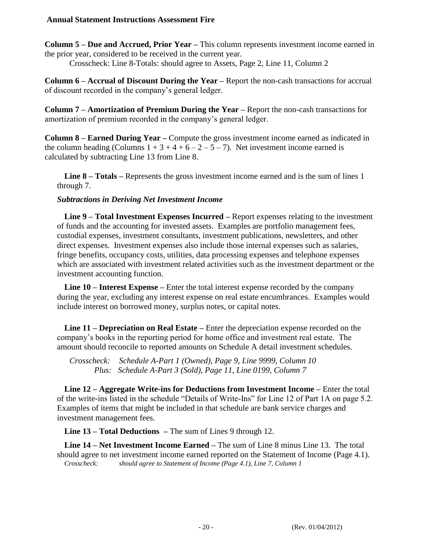**Column 5 – Due and Accrued, Prior Year –** This column represents investment income earned in the prior year, considered to be received in the current year. Crosscheck: Line 8-Totals: should agree to Assets, Page 2, Line 11, Column 2

**Column 6 – Accrual of Discount During the Year –** Report the non-cash transactions for accrual of discount recorded in the company's general ledger.

**Column 7 – Amortization of Premium During the Year –** Report the non-cash transactions for amortization of premium recorded in the company's general ledger.

**Column 8 – Earned During Year –** Compute the gross investment income earned as indicated in the column heading (Columns  $1 + 3 + 4 + 6 - 2 - 5 - 7$ ). Net investment income earned is calculated by subtracting Line 13 from Line 8.

**Line 8 – Totals –** Represents the gross investment income earned and is the sum of lines 1 through 7.

#### *Subtractions in Deriving Net Investment Income*

**Line 9 – Total Investment Expenses Incurred –** Report expenses relating to the investment of funds and the accounting for invested assets. Examples are portfolio management fees, custodial expenses, investment consultants, investment publications, newsletters, and other direct expenses. Investment expenses also include those internal expenses such as salaries, fringe benefits, occupancy costs, utilities, data processing expenses and telephone expenses which are associated with investment related activities such as the investment department or the investment accounting function.

**Line 10 – Interest Expense –** Enter the total interest expense recorded by the company during the year, excluding any interest expense on real estate encumbrances. Examples would include interest on borrowed money, surplus notes, or capital notes.

**Line 11 – Depreciation on Real Estate –** Enter the depreciation expense recorded on the company's books in the reporting period for home office and investment real estate. The amount should reconcile to reported amounts on Schedule A detail investment schedules.

*Crosscheck: Schedule A-Part 1 (Owned), Page 9, Line 9999, Column 10 Plus: Schedule A-Part 3 (Sold), Page 11, Line 0199, Column 7*

**Line 12 – Aggregate Write-ins for Deductions from Investment Income –** Enter the total of the write-ins listed in the schedule "Details of Write-Ins" for Line 12 of Part 1A on page 5.2. Examples of items that might be included in that schedule are bank service charges and investment management fees.

**Line 13 – Total Deductions –** The sum of Lines 9 through 12.

**Line 14 – Net Investment Income Earned –** The sum of Line 8 minus Line 13. The total should agree to net investment income earned reported on the Statement of Income (Page 4.1). *Crosscheck: should agree to Statement of Income (Page 4.1), Line 7, Column 1*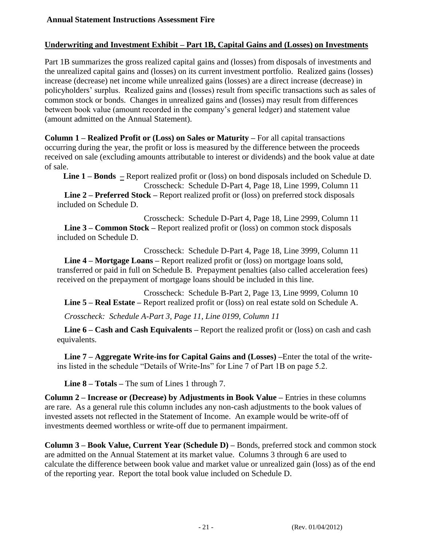#### **Underwriting and Investment Exhibit – Part 1B, Capital Gains and (Losses) on Investments**

Part 1B summarizes the gross realized capital gains and (losses) from disposals of investments and the unrealized capital gains and (losses) on its current investment portfolio. Realized gains (losses) increase (decrease) net income while unrealized gains (losses) are a direct increase (decrease) in policyholders' surplus. Realized gains and (losses) result from specific transactions such as sales of common stock or bonds. Changes in unrealized gains and (losses) may result from differences between book value (amount recorded in the company's general ledger) and statement value (amount admitted on the Annual Statement).

**Column 1 – Realized Profit or (Loss) on Sales or Maturity –** For all capital transactions occurring during the year, the profit or loss is measured by the difference between the proceeds received on sale (excluding amounts attributable to interest or dividends) and the book value at date of sale.

**Line 1 – Bonds –** Report realized profit or (loss) on bond disposals included on Schedule D. Crosscheck: Schedule D-Part 4, Page 18, Line 1999, Column 11 **Line 2 – Preferred Stock –** Report realized profit or (loss) on preferred stock disposals

included on Schedule D.

Crosscheck: Schedule D-Part 4, Page 18, Line 2999, Column 11 **Line 3 – Common Stock –** Report realized profit or (loss) on common stock disposals included on Schedule D.

Crosscheck: Schedule D-Part 4, Page 18, Line 3999, Column 11 **Line 4 – Mortgage Loans –** Report realized profit or (loss) on mortgage loans sold, transferred or paid in full on Schedule B. Prepayment penalties (also called acceleration fees) received on the prepayment of mortgage loans should be included in this line.

Crosscheck: Schedule B-Part 2, Page 13, Line 9999, Column 10 **Line 5 – Real Estate –** Report realized profit or (loss) on real estate sold on Schedule A.

*Crosscheck: Schedule A-Part 3, Page 11, Line 0199, Column 11*

**Line 6 – Cash and Cash Equivalents –** Report the realized profit or (loss) on cash and cash equivalents.

**Line 7 – Aggregate Write-ins for Capital Gains and (Losses) –**Enter the total of the writeins listed in the schedule "Details of Write-Ins" for Line 7 of Part 1B on page 5.2.

**Line 8 – Totals –** The sum of Lines 1 through 7.

**Column 2 – Increase or (Decrease) by Adjustments in Book Value –** Entries in these columns are rare. As a general rule this column includes any non-cash adjustments to the book values of invested assets not reflected in the Statement of Income. An example would be write-off of investments deemed worthless or write-off due to permanent impairment.

**Column 3 – Book Value, Current Year (Schedule D) –** Bonds, preferred stock and common stock are admitted on the Annual Statement at its market value. Columns 3 through 6 are used to calculate the difference between book value and market value or unrealized gain (loss) as of the end of the reporting year. Report the total book value included on Schedule D.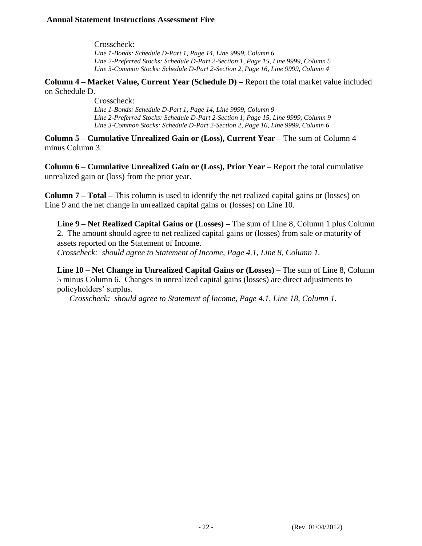Crosscheck: *Line 1-Bonds: Schedule D-Part 1, Page 14, Line 9999, Column 6 Line 2-Preferred Stocks: Schedule D-Part 2-Section 1, Page 15, Line 9999, Column 5 Line 3-Common Stocks: Schedule D-Part 2-Section 2, Page 16, Line 9999, Column 4* 

**Column 4 – Market Value, Current Year (Schedule D) –** Report the total market value included on Schedule D.

> Crosscheck: *Line 1-Bonds: Schedule D-Part 1, Page 14, Line 9999, Column 9 Line 2-Preferred Stocks: Schedule D-Part 2-Section 1, Page 15, Line 9999, Column 9 Line 3-Common Stocks: Schedule D-Part 2-Section 2, Page 16, Line 9999, Column 6*

**Column 5 – Cumulative Unrealized Gain or (Loss), Current Year –** The sum of Column 4 minus Column 3.

**Column 6 – Cumulative Unrealized Gain or (Loss), Prior Year –** Report the total cumulative unrealized gain or (loss) from the prior year.

**Column 7 – Total –** This column is used to identify the net realized capital gains or (losses) on Line 9 and the net change in unrealized capital gains or (losses) on Line 10.

**Line 9 – Net Realized Capital Gains or (Losses) –** The sum of Line 8, Column 1 plus Column 2. The amount should agree to net realized capital gains or (losses) from sale or maturity of assets reported on the Statement of Income.

*Crosscheck: should agree to Statement of Income, Page 4.1, Line 8, Column 1.*

**Line 10 – Net Change in Unrealized Capital Gains or (Losses)** – The sum of Line 8, Column 5 minus Column 6. Changes in unrealized capital gains (losses) are direct adjustments to policyholders' surplus.

*Crosscheck: should agree to Statement of Income, Page 4.1, Line 18, Column 1.*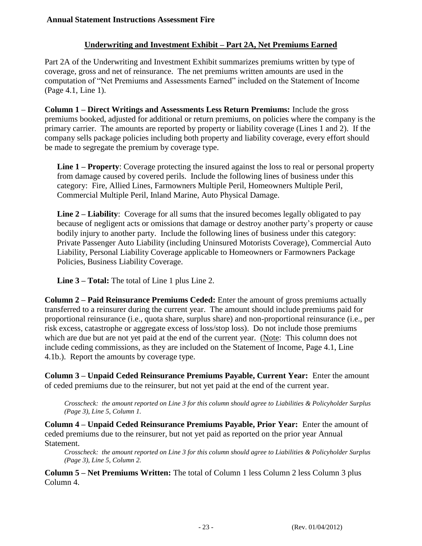## **Underwriting and Investment Exhibit – Part 2A, Net Premiums Earned**

Part 2A of the Underwriting and Investment Exhibit summarizes premiums written by type of coverage, gross and net of reinsurance. The net premiums written amounts are used in the computation of "Net Premiums and Assessments Earned" included on the Statement of Income (Page 4.1, Line 1).

**Column 1 – Direct Writings and Assessments Less Return Premiums:** Include the gross premiums booked, adjusted for additional or return premiums, on policies where the company is the primary carrier. The amounts are reported by property or liability coverage (Lines 1 and 2). If the company sells package policies including both property and liability coverage, every effort should be made to segregate the premium by coverage type.

**Line 1 – Property**: Coverage protecting the insured against the loss to real or personal property from damage caused by covered perils. Include the following lines of business under this category: Fire, Allied Lines, Farmowners Multiple Peril, Homeowners Multiple Peril, Commercial Multiple Peril, Inland Marine, Auto Physical Damage.

**Line 2 – Liability**: Coverage for all sums that the insured becomes legally obligated to pay because of negligent acts or omissions that damage or destroy another party's property or cause bodily injury to another party. Include the following lines of business under this category: Private Passenger Auto Liability (including Uninsured Motorists Coverage), Commercial Auto Liability, Personal Liability Coverage applicable to Homeowners or Farmowners Package Policies, Business Liability Coverage.

**Line 3 – Total:** The total of Line 1 plus Line 2.

**Column 2 – Paid Reinsurance Premiums Ceded:** Enter the amount of gross premiums actually transferred to a reinsurer during the current year. The amount should include premiums paid for proportional reinsurance (i.e., quota share, surplus share) and non-proportional reinsurance (i.e., per risk excess, catastrophe or aggregate excess of loss/stop loss). Do not include those premiums which are due but are not yet paid at the end of the current year. (Note: This column does not include ceding commissions, as they are included on the Statement of Income, Page 4.1, Line 4.1b.). Report the amounts by coverage type.

**Column 3 – Unpaid Ceded Reinsurance Premiums Payable, Current Year:** Enter the amount of ceded premiums due to the reinsurer, but not yet paid at the end of the current year.

*Crosscheck: the amount reported on Line 3 for this column should agree to Liabilities & Policyholder Surplus (Page 3), Line 5, Column 1.*

**Column 4 – Unpaid Ceded Reinsurance Premiums Payable, Prior Year:** Enter the amount of ceded premiums due to the reinsurer, but not yet paid as reported on the prior year Annual Statement.

*Crosscheck: the amount reported on Line 3 for this column should agree to Liabilities & Policyholder Surplus (Page 3), Line 5, Column 2.*

**Column 5 – Net Premiums Written:** The total of Column 1 less Column 2 less Column 3 plus Column 4.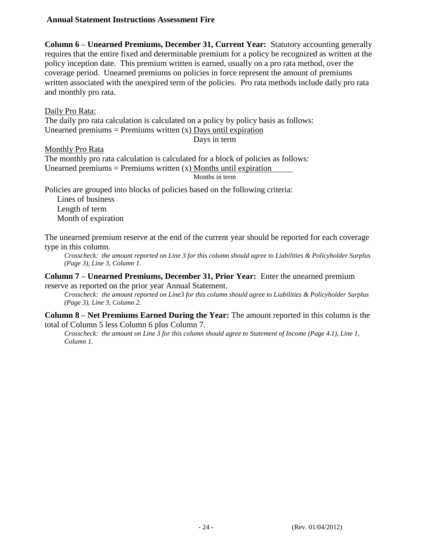**Column 6 – Unearned Premiums, December 31, Current Year:** Statutory accounting generally requires that the entire fixed and determinable premium for a policy be recognized as written at the policy inception date. This premium written is earned, usually on a pro rata method, over the coverage period. Unearned premiums on policies in force represent the amount of premiums written associated with the unexpired term of the policies. Pro rata methods include daily pro rata and monthly pro rata.

Daily Pro Rata:

The daily pro rata calculation is calculated on a policy by policy basis as follows: Unearned premiums = Premiums written  $(x)$  Days until expiration

Days in term

#### Monthly Pro Rata

The monthly pro rata calculation is calculated for a block of policies as follows: Unearned premiums = Premiums written  $(x)$  Months until expiration Months in term

Policies are grouped into blocks of policies based on the following criteria:

Lines of business Length of term Month of expiration

The unearned premium reserve at the end of the current year should be reported for each coverage type in this column.

*Crosscheck: the amount reported on Line 3 for this column should agree to Liabilities & Policyholder Surplus (Page 3), Line 3, Column 1.* 

#### **Column 7 – Unearned Premiums, December 31, Prior Year:** Enter the unearned premium reserve as reported on the prior year Annual Statement.

*Crosscheck: the amount reported on Line3 for this column should agree to Liabilities & Policyholder Surplus (Page 3), Line 3, Column 2.* 

#### **Column 8 – Net Premiums Earned During the Year:** The amount reported in this column is the total of Column 5 less Column 6 plus Column 7.

*Crosscheck: the amount on Line 3 for this column should agree to Statement of Income (Page 4.1), Line 1, Column 1.*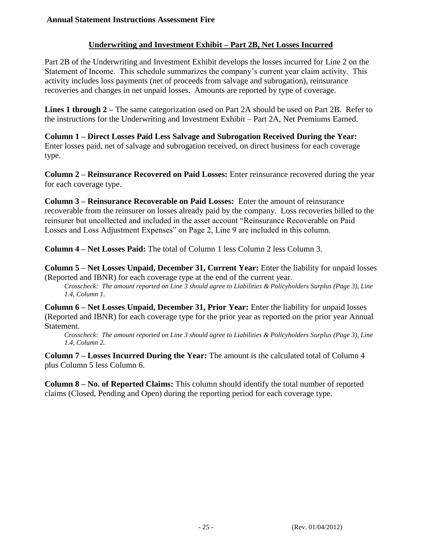## **Underwriting and Investment Exhibit – Part 2B, Net Losses Incurred**

Part 2B of the Underwriting and Investment Exhibit develops the losses incurred for Line 2 on the Statement of Income. This schedule summarizes the company's current year claim activity. This activity includes loss payments (net of proceeds from salvage and subrogation), reinsurance recoveries and changes in net unpaid losses. Amounts are reported by type of coverage.

**Lines 1 through 2 –** The same categorization used on Part 2A should be used on Part 2B. Refer to the instructions for the Underwriting and Investment Exhibit – Part 2A, Net Premiums Earned.

**Column 1 – Direct Losses Paid Less Salvage and Subrogation Received During the Year:** Enter losses paid, net of salvage and subrogation received, on direct business for each coverage type.

**Column 2 – Reinsurance Recovered on Paid Losses:** Enter reinsurance recovered during the year for each coverage type.

**Column 3 – Reinsurance Recoverable on Paid Losses:** Enter the amount of reinsurance recoverable from the reinsurer on losses already paid by the company. Loss recoveries billed to the reinsurer but uncollected and included in the asset account "Reinsurance Recoverable on Paid Losses and Loss Adjustment Expenses" on Page 2, Line 9 are included in this column.

**Column 4 – Net Losses Paid:** The total of Column 1 less Column 2 less Column 3.

**Column 5 – Net Losses Unpaid, December 31, Current Year:** Enter the liability for unpaid losses (Reported and IBNR) for each coverage type at the end of the current year.

*Crosscheck: The amount reported on Line 3 should agree to Liabilities & Policyholders Surplus (Page 3), Line 1.4, Column 1.*

**Column 6 – Net Losses Unpaid, December 31, Prior Year:** Enter the liability for unpaid losses (Reported and IBNR) for each coverage type for the prior year as reported on the prior year Annual Statement.

*Crosscheck: The amount reported on Line 3 should agree to Liabilities & Policyholders Surplus (Page 3), Line 1.4, Column 2.*

**Column 7 – Losses Incurred During the Year:** The amount is the calculated total of Column 4 plus Column 5 less Column 6.

**Column 8 – No. of Reported Claims:** This column should identify the total number of reported claims (Closed, Pending and Open) during the reporting period for each coverage type.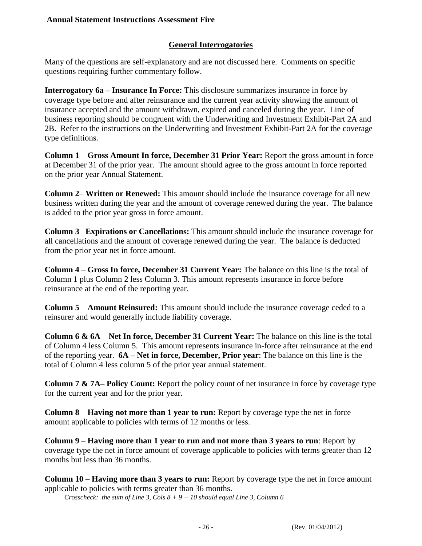### **General Interrogatories**

Many of the questions are self-explanatory and are not discussed here. Comments on specific questions requiring further commentary follow.

**Interrogatory 6a – Insurance In Force:** This disclosure summarizes insurance in force by coverage type before and after reinsurance and the current year activity showing the amount of insurance accepted and the amount withdrawn, expired and canceled during the year. Line of business reporting should be congruent with the Underwriting and Investment Exhibit-Part 2A and 2B. Refer to the instructions on the Underwriting and Investment Exhibit-Part 2A for the coverage type definitions.

**Column 1** – **Gross Amount In force, December 31 Prior Year:** Report the gross amount in force at December 31 of the prior year. The amount should agree to the gross amount in force reported on the prior year Annual Statement.

**Column 2**– **Written or Renewed:** This amount should include the insurance coverage for all new business written during the year and the amount of coverage renewed during the year. The balance is added to the prior year gross in force amount.

**Column 3**– **Expirations or Cancellations:** This amount should include the insurance coverage for all cancellations and the amount of coverage renewed during the year. The balance is deducted from the prior year net in force amount.

**Column 4** – **Gross In force, December 31 Current Year:** The balance on this line is the total of Column 1 plus Column 2 less Column 3. This amount represents insurance in force before reinsurance at the end of the reporting year.

**Column 5** – **Amount Reinsured:** This amount should include the insurance coverage ceded to a reinsurer and would generally include liability coverage.

**Column 6 & 6A** – **Net In force, December 31 Current Year:** The balance on this line is the total of Column 4 less Column 5. This amount represents insurance in-force after reinsurance at the end of the reporting year. **6A – Net in force, December, Prior year**: The balance on this line is the total of Column 4 less column 5 of the prior year annual statement.

**Column 7 & 7A– Policy Count:** Report the policy count of net insurance in force by coverage type for the current year and for the prior year.

**Column 8** – **Having not more than 1 year to run:** Report by coverage type the net in force amount applicable to policies with terms of 12 months or less.

**Column 9** – **Having more than 1 year to run and not more than 3 years to run**: Report by coverage type the net in force amount of coverage applicable to policies with terms greater than 12 months but less than 36 months.

**Column 10** – **Having more than 3 years to run:** Report by coverage type the net in force amount applicable to policies with terms greater than 36 months.

*Crosscheck: the sum of Line 3, Cols 8 + 9 + 10 should equal Line 3, Column 6*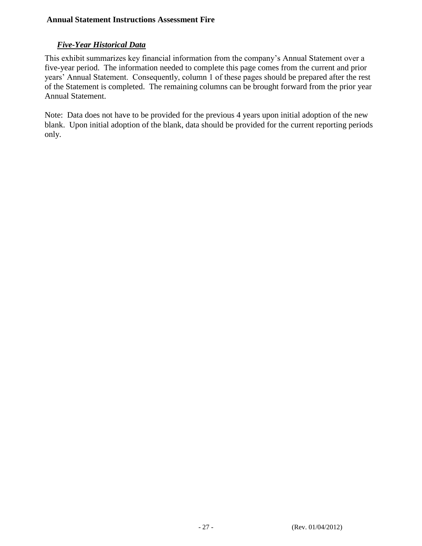## *Five-Year Historical Data*

This exhibit summarizes key financial information from the company's Annual Statement over a five-year period. The information needed to complete this page comes from the current and prior years' Annual Statement. Consequently, column 1 of these pages should be prepared after the rest of the Statement is completed. The remaining columns can be brought forward from the prior year Annual Statement.

Note: Data does not have to be provided for the previous 4 years upon initial adoption of the new blank. Upon initial adoption of the blank, data should be provided for the current reporting periods only.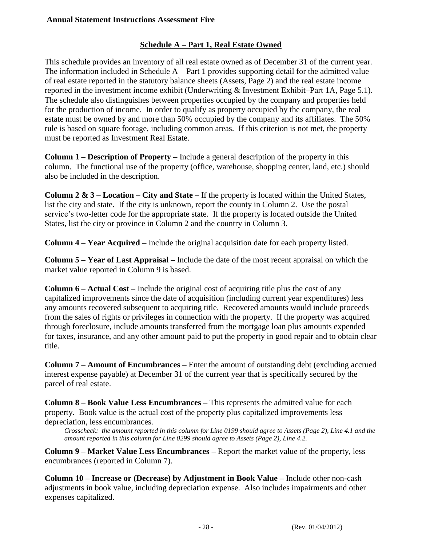## **Schedule A – Part 1, Real Estate Owned**

This schedule provides an inventory of all real estate owned as of December 31 of the current year. The information included in Schedule  $A - Part 1$  provides supporting detail for the admitted value of real estate reported in the statutory balance sheets (Assets, Page 2) and the real estate income reported in the investment income exhibit (Underwriting & Investment Exhibit–Part 1A, Page 5.1). The schedule also distinguishes between properties occupied by the company and properties held for the production of income. In order to qualify as property occupied by the company, the real estate must be owned by and more than 50% occupied by the company and its affiliates. The 50% rule is based on square footage, including common areas. If this criterion is not met, the property must be reported as Investment Real Estate.

**Column 1 – Description of Property –** Include a general description of the property in this column. The functional use of the property (office, warehouse, shopping center, land, etc.) should also be included in the description.

**Column 2 & 3 – Location – City and State –** If the property is located within the United States, list the city and state. If the city is unknown, report the county in Column 2. Use the postal service's two-letter code for the appropriate state. If the property is located outside the United States, list the city or province in Column 2 and the country in Column 3.

**Column 4 – Year Acquired –** Include the original acquisition date for each property listed.

**Column 5 – Year of Last Appraisal –** Include the date of the most recent appraisal on which the market value reported in Column 9 is based.

**Column 6 – Actual Cost –** Include the original cost of acquiring title plus the cost of any capitalized improvements since the date of acquisition (including current year expenditures) less any amounts recovered subsequent to acquiring title. Recovered amounts would include proceeds from the sales of rights or privileges in connection with the property. If the property was acquired through foreclosure, include amounts transferred from the mortgage loan plus amounts expended for taxes, insurance, and any other amount paid to put the property in good repair and to obtain clear title.

**Column 7 – Amount of Encumbrances –** Enter the amount of outstanding debt (excluding accrued interest expense payable) at December 31 of the current year that is specifically secured by the parcel of real estate.

**Column 8 – Book Value Less Encumbrances –** This represents the admitted value for each property. Book value is the actual cost of the property plus capitalized improvements less depreciation, less encumbrances.

*Crosscheck: the amount reported in this column for Line 0199 should agree to Assets (Page 2), Line 4.1 and the amount reported in this column for Line 0299 should agree to Assets (Page 2), Line 4.2.* 

**Column 9 – Market Value Less Encumbrances –** Report the market value of the property, less encumbrances (reported in Column 7).

**Column 10 – Increase or (Decrease) by Adjustment in Book Value –** Include other non-cash adjustments in book value, including depreciation expense. Also includes impairments and other expenses capitalized.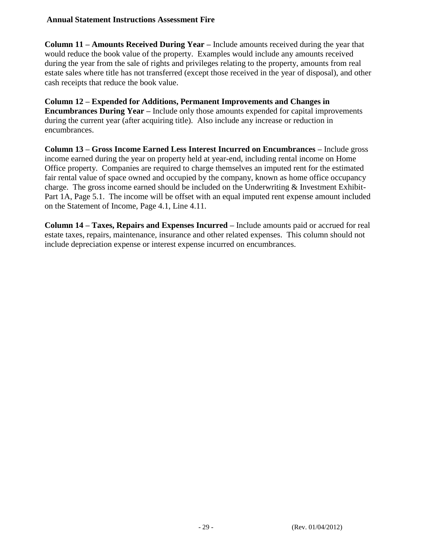**Column 11 – Amounts Received During Year –** Include amounts received during the year that would reduce the book value of the property. Examples would include any amounts received during the year from the sale of rights and privileges relating to the property, amounts from real estate sales where title has not transferred (except those received in the year of disposal), and other cash receipts that reduce the book value.

**Column 12 – Expended for Additions, Permanent Improvements and Changes in Encumbrances During Year –** Include only those amounts expended for capital improvements during the current year (after acquiring title). Also include any increase or reduction in encumbrances.

**Column 13 – Gross Income Earned Less Interest Incurred on Encumbrances –** Include gross income earned during the year on property held at year-end, including rental income on Home Office property. Companies are required to charge themselves an imputed rent for the estimated fair rental value of space owned and occupied by the company, known as home office occupancy charge. The gross income earned should be included on the Underwriting  $\&$  Investment Exhibit-Part 1A, Page 5.1. The income will be offset with an equal imputed rent expense amount included on the Statement of Income, Page 4.1, Line 4.11.

**Column 14 – Taxes, Repairs and Expenses Incurred –** Include amounts paid or accrued for real estate taxes, repairs, maintenance, insurance and other related expenses. This column should not include depreciation expense or interest expense incurred on encumbrances.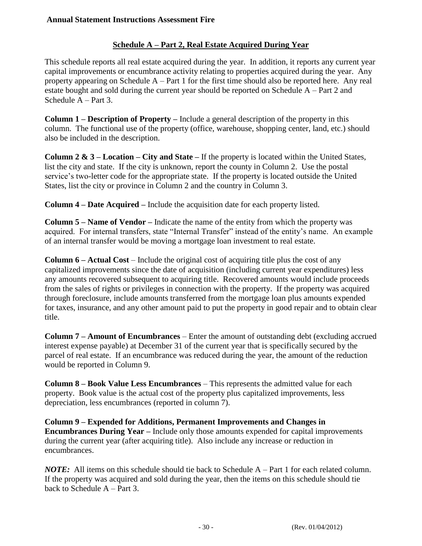## **Schedule A – Part 2, Real Estate Acquired During Year**

This schedule reports all real estate acquired during the year. In addition, it reports any current year capital improvements or encumbrance activity relating to properties acquired during the year. Any property appearing on Schedule  $A - Part 1$  for the first time should also be reported here. Any real estate bought and sold during the current year should be reported on Schedule A – Part 2 and Schedule A – Part 3.

**Column 1 – Description of Property –** Include a general description of the property in this column. The functional use of the property (office, warehouse, shopping center, land, etc.) should also be included in the description.

**Column 2 & 3 – Location – City and State –** If the property is located within the United States, list the city and state. If the city is unknown, report the county in Column 2. Use the postal service's two-letter code for the appropriate state. If the property is located outside the United States, list the city or province in Column 2 and the country in Column 3.

**Column 4 – Date Acquired –** Include the acquisition date for each property listed.

**Column 5 – Name of Vendor –** Indicate the name of the entity from which the property was acquired. For internal transfers, state "Internal Transfer" instead of the entity's name. An example of an internal transfer would be moving a mortgage loan investment to real estate.

**Column 6 – Actual Cost** – Include the original cost of acquiring title plus the cost of any capitalized improvements since the date of acquisition (including current year expenditures) less any amounts recovered subsequent to acquiring title. Recovered amounts would include proceeds from the sales of rights or privileges in connection with the property. If the property was acquired through foreclosure, include amounts transferred from the mortgage loan plus amounts expended for taxes, insurance, and any other amount paid to put the property in good repair and to obtain clear title.

**Column 7 – Amount of Encumbrances** – Enter the amount of outstanding debt (excluding accrued interest expense payable) at December 31 of the current year that is specifically secured by the parcel of real estate. If an encumbrance was reduced during the year, the amount of the reduction would be reported in Column 9.

**Column 8 – Book Value Less Encumbrances** – This represents the admitted value for each property. Book value is the actual cost of the property plus capitalized improvements, less depreciation, less encumbrances (reported in column 7).

**Column 9 – Expended for Additions, Permanent Improvements and Changes in Encumbrances During Year –** Include only those amounts expended for capital improvements during the current year (after acquiring title). Also include any increase or reduction in encumbrances.

*NOTE:* All items on this schedule should tie back to Schedule A – Part 1 for each related column. If the property was acquired and sold during the year, then the items on this schedule should tie back to Schedule A – Part 3.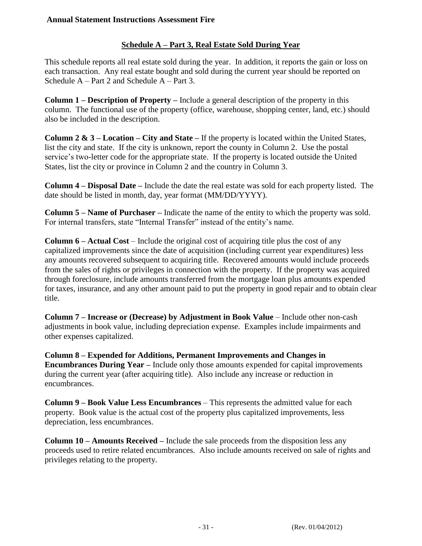## **Schedule A – Part 3, Real Estate Sold During Year**

This schedule reports all real estate sold during the year. In addition, it reports the gain or loss on each transaction. Any real estate bought and sold during the current year should be reported on Schedule A – Part 2 and Schedule A – Part 3.

**Column 1 – Description of Property –** Include a general description of the property in this column. The functional use of the property (office, warehouse, shopping center, land, etc.) should also be included in the description.

**Column 2 & 3 – Location – City and State –** If the property is located within the United States, list the city and state. If the city is unknown, report the county in Column 2. Use the postal service's two-letter code for the appropriate state. If the property is located outside the United States, list the city or province in Column 2 and the country in Column 3.

**Column 4 – Disposal Date –** Include the date the real estate was sold for each property listed. The date should be listed in month, day, year format (MM/DD/YYYY).

**Column 5 – Name of Purchaser –** Indicate the name of the entity to which the property was sold. For internal transfers, state "Internal Transfer" instead of the entity's name.

**Column 6 – Actual Cost** – Include the original cost of acquiring title plus the cost of any capitalized improvements since the date of acquisition (including current year expenditures) less any amounts recovered subsequent to acquiring title. Recovered amounts would include proceeds from the sales of rights or privileges in connection with the property. If the property was acquired through foreclosure, include amounts transferred from the mortgage loan plus amounts expended for taxes, insurance, and any other amount paid to put the property in good repair and to obtain clear title.

**Column 7 – Increase or (Decrease) by Adjustment in Book Value** – Include other non-cash adjustments in book value, including depreciation expense. Examples include impairments and other expenses capitalized.

**Column 8 – Expended for Additions, Permanent Improvements and Changes in Encumbrances During Year –** Include only those amounts expended for capital improvements during the current year (after acquiring title). Also include any increase or reduction in encumbrances.

**Column 9 – Book Value Less Encumbrances** – This represents the admitted value for each property. Book value is the actual cost of the property plus capitalized improvements, less depreciation, less encumbrances.

**Column 10 – Amounts Received –** Include the sale proceeds from the disposition less any proceeds used to retire related encumbrances. Also include amounts received on sale of rights and privileges relating to the property.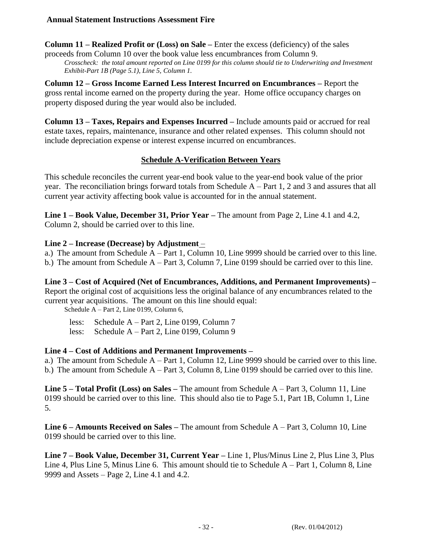**Column 11 – Realized Profit or (Loss) on Sale –** Enter the excess (deficiency) of the sales

proceeds from Column 10 over the book value less encumbrances from Column 9. *Crosscheck: the total amount reported on Line 0199 for this column should tie to Underwriting and Investment Exhibit-Part 1B (Page 5.1), Line 5, Column 1.*

**Column 12 – Gross Income Earned Less Interest Incurred on Encumbrances –** Report the gross rental income earned on the property during the year. Home office occupancy charges on property disposed during the year would also be included.

**Column 13 – Taxes, Repairs and Expenses Incurred –** Include amounts paid or accrued for real estate taxes, repairs, maintenance, insurance and other related expenses. This column should not include depreciation expense or interest expense incurred on encumbrances.

## **Schedule A-Verification Between Years**

This schedule reconciles the current year-end book value to the year-end book value of the prior year. The reconciliation brings forward totals from Schedule A – Part 1, 2 and 3 and assures that all current year activity affecting book value is accounted for in the annual statement.

**Line 1 – Book Value, December 31, Prior Year –** The amount from Page 2, Line 4.1 and 4.2, Column 2, should be carried over to this line.

#### **Line 2 – Increase (Decrease) by Adjustment** –

a.) The amount from Schedule A – Part 1, Column 10, Line 9999 should be carried over to this line. b.) The amount from Schedule A – Part 3, Column 7, Line 0199 should be carried over to this line.

**Line 3 – Cost of Acquired (Net of Encumbrances, Additions, and Permanent Improvements) –** Report the original cost of acquisitions less the original balance of any encumbrances related to the current year acquisitions. The amount on this line should equal:

Schedule A – Part 2, Line 0199, Column 6,

less: Schedule A – Part 2, Line 0199, Column 7 less: Schedule A – Part 2, Line 0199, Column 9

#### **Line 4 – Cost of Additions and Permanent Improvements –**

a.) The amount from Schedule A – Part 1, Column 12, Line 9999 should be carried over to this line. b.) The amount from Schedule A – Part 3, Column 8, Line 0199 should be carried over to this line.

**Line 5 – Total Profit (Loss) on Sales –** The amount from Schedule A – Part 3, Column 11, Line 0199 should be carried over to this line. This should also tie to Page 5.1, Part 1B, Column 1, Line 5.

**Line 6 – Amounts Received on Sales –** The amount from Schedule A – Part 3, Column 10, Line 0199 should be carried over to this line.

**Line 7 – Book Value, December 31, Current Year –** Line 1, Plus/Minus Line 2, Plus Line 3, Plus Line 4, Plus Line 5, Minus Line 6. This amount should tie to Schedule A – Part 1, Column 8, Line 9999 and Assets – Page 2, Line 4.1 and 4.2.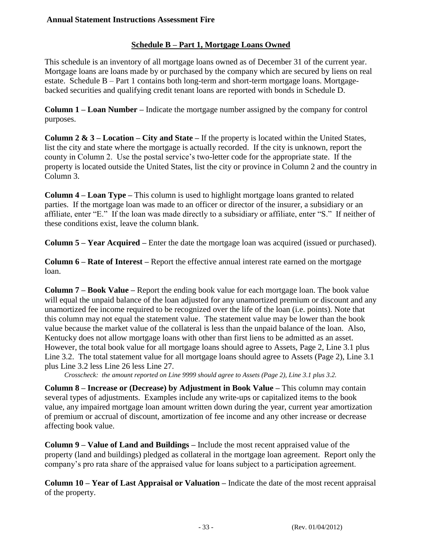## **Schedule B – Part 1, Mortgage Loans Owned**

This schedule is an inventory of all mortgage loans owned as of December 31 of the current year. Mortgage loans are loans made by or purchased by the company which are secured by liens on real estate. Schedule B – Part 1 contains both long-term and short-term mortgage loans. Mortgagebacked securities and qualifying credit tenant loans are reported with bonds in Schedule D.

**Column 1 – Loan Number –** Indicate the mortgage number assigned by the company for control purposes.

**Column 2 & 3 – Location – City and State –** If the property is located within the United States, list the city and state where the mortgage is actually recorded. If the city is unknown, report the county in Column 2. Use the postal service's two-letter code for the appropriate state. If the property is located outside the United States, list the city or province in Column 2 and the country in Column 3.

**Column 4 – Loan Type –** This column is used to highlight mortgage loans granted to related parties. If the mortgage loan was made to an officer or director of the insurer, a subsidiary or an affiliate, enter "E." If the loan was made directly to a subsidiary or affiliate, enter "S." If neither of these conditions exist, leave the column blank.

**Column 5 – Year Acquired –** Enter the date the mortgage loan was acquired (issued or purchased).

**Column 6 – Rate of Interest –** Report the effective annual interest rate earned on the mortgage loan.

**Column 7 – Book Value –** Report the ending book value for each mortgage loan. The book value will equal the unpaid balance of the loan adjusted for any unamortized premium or discount and any unamortized fee income required to be recognized over the life of the loan (i.e. points). Note that this column may not equal the statement value. The statement value may be lower than the book value because the market value of the collateral is less than the unpaid balance of the loan. Also, Kentucky does not allow mortgage loans with other than first liens to be admitted as an asset. However, the total book value for all mortgage loans should agree to Assets, Page 2, Line 3.1 plus Line 3.2. The total statement value for all mortgage loans should agree to Assets (Page 2), Line 3.1 plus Line 3.2 less Line 26 less Line 27.

*Crosscheck: the amount reported on Line 9999 should agree to Assets (Page 2), Line 3.1 plus 3.2.*

**Column 8 – Increase or (Decrease) by Adjustment in Book Value –** This column may contain several types of adjustments. Examples include any write-ups or capitalized items to the book value, any impaired mortgage loan amount written down during the year, current year amortization of premium or accrual of discount, amortization of fee income and any other increase or decrease affecting book value.

**Column 9 – Value of Land and Buildings –** Include the most recent appraised value of the property (land and buildings) pledged as collateral in the mortgage loan agreement. Report only the company's pro rata share of the appraised value for loans subject to a participation agreement.

**Column 10 – Year of Last Appraisal or Valuation –** Indicate the date of the most recent appraisal of the property.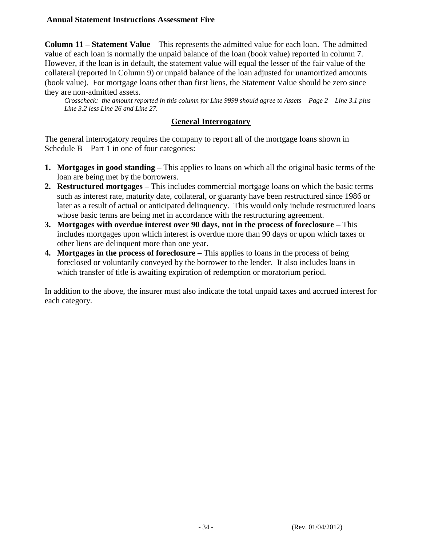**Column 11 – Statement Value** – This represents the admitted value for each loan. The admitted value of each loan is normally the unpaid balance of the loan (book value) reported in column 7. However, if the loan is in default, the statement value will equal the lesser of the fair value of the collateral (reported in Column 9) or unpaid balance of the loan adjusted for unamortized amounts (book value). For mortgage loans other than first liens, the Statement Value should be zero since they are non-admitted assets.

*Crosscheck: the amount reported in this column for Line 9999 should agree to Assets – Page 2 – Line 3.1 plus Line 3.2 less Line 26 and Line 27.*

#### **General Interrogatory**

The general interrogatory requires the company to report all of the mortgage loans shown in Schedule B – Part 1 in one of four categories:

- **1. Mortgages in good standing –** This applies to loans on which all the original basic terms of the loan are being met by the borrowers.
- **2. Restructured mortgages –** This includes commercial mortgage loans on which the basic terms such as interest rate, maturity date, collateral, or guaranty have been restructured since 1986 or later as a result of actual or anticipated delinquency. This would only include restructured loans whose basic terms are being met in accordance with the restructuring agreement.
- **3. Mortgages with overdue interest over 90 days, not in the process of foreclosure –** This includes mortgages upon which interest is overdue more than 90 days or upon which taxes or other liens are delinquent more than one year.
- **4. Mortgages in the process of foreclosure –** This applies to loans in the process of being foreclosed or voluntarily conveyed by the borrower to the lender. It also includes loans in which transfer of title is awaiting expiration of redemption or moratorium period.

In addition to the above, the insurer must also indicate the total unpaid taxes and accrued interest for each category.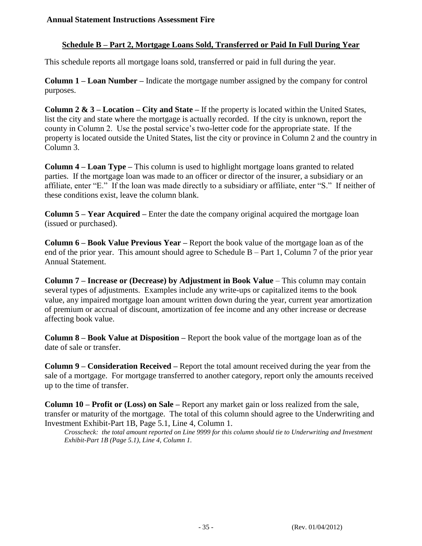## **Schedule B – Part 2, Mortgage Loans Sold, Transferred or Paid In Full During Year**

This schedule reports all mortgage loans sold, transferred or paid in full during the year.

**Column 1 – Loan Number –** Indicate the mortgage number assigned by the company for control purposes.

**Column 2 & 3 – Location – City and State –** If the property is located within the United States, list the city and state where the mortgage is actually recorded. If the city is unknown, report the county in Column 2. Use the postal service's two-letter code for the appropriate state. If the property is located outside the United States, list the city or province in Column 2 and the country in Column 3.

**Column 4 – Loan Type –** This column is used to highlight mortgage loans granted to related parties. If the mortgage loan was made to an officer or director of the insurer, a subsidiary or an affiliate, enter "E." If the loan was made directly to a subsidiary or affiliate, enter "S." If neither of these conditions exist, leave the column blank.

**Column 5 – Year Acquired –** Enter the date the company original acquired the mortgage loan (issued or purchased).

**Column 6 – Book Value Previous Year –** Report the book value of the mortgage loan as of the end of the prior year. This amount should agree to Schedule  $B - Part 1$ , Column 7 of the prior year Annual Statement.

**Column 7 – Increase or (Decrease) by Adjustment in Book Value** – This column may contain several types of adjustments. Examples include any write-ups or capitalized items to the book value, any impaired mortgage loan amount written down during the year, current year amortization of premium or accrual of discount, amortization of fee income and any other increase or decrease affecting book value.

**Column 8 – Book Value at Disposition –** Report the book value of the mortgage loan as of the date of sale or transfer.

**Column 9 – Consideration Received –** Report the total amount received during the year from the sale of a mortgage. For mortgage transferred to another category, report only the amounts received up to the time of transfer.

**Column 10 – Profit or (Loss) on Sale –** Report any market gain or loss realized from the sale, transfer or maturity of the mortgage. The total of this column should agree to the Underwriting and Investment Exhibit-Part 1B, Page 5.1, Line 4, Column 1.

*Crosscheck: the total amount reported on Line 9999 for this column should tie to Underwriting and Investment Exhibit-Part 1B (Page 5.1), Line 4, Column 1.*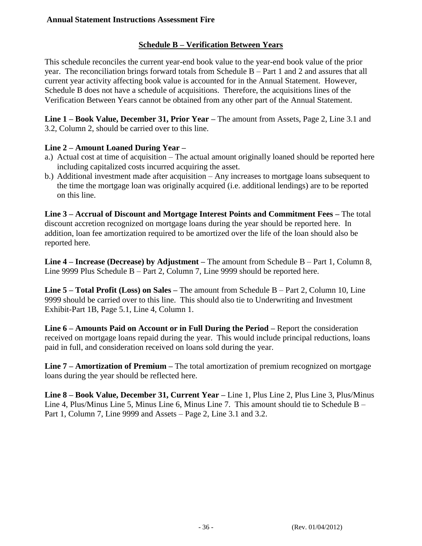## **Schedule B – Verification Between Years**

This schedule reconciles the current year-end book value to the year-end book value of the prior year. The reconciliation brings forward totals from Schedule B – Part 1 and 2 and assures that all current year activity affecting book value is accounted for in the Annual Statement. However, Schedule B does not have a schedule of acquisitions. Therefore, the acquisitions lines of the Verification Between Years cannot be obtained from any other part of the Annual Statement.

**Line 1 – Book Value, December 31, Prior Year –** The amount from Assets, Page 2, Line 3.1 and 3.2, Column 2, should be carried over to this line.

#### **Line 2 – Amount Loaned During Year –**

- a.) Actual cost at time of acquisition The actual amount originally loaned should be reported here including capitalized costs incurred acquiring the asset.
- b.) Additional investment made after acquisition Any increases to mortgage loans subsequent to the time the mortgage loan was originally acquired (i.e. additional lendings) are to be reported on this line.

**Line 3 – Accrual of Discount and Mortgage Interest Points and Commitment Fees –** The total discount accretion recognized on mortgage loans during the year should be reported here. In addition, loan fee amortization required to be amortized over the life of the loan should also be reported here.

**Line 4 – Increase (Decrease) by Adjustment –** The amount from Schedule B – Part 1, Column 8, Line 9999 Plus Schedule B – Part 2, Column 7, Line 9999 should be reported here.

**Line 5 – Total Profit (Loss) on Sales –** The amount from Schedule B – Part 2, Column 10, Line 9999 should be carried over to this line. This should also tie to Underwriting and Investment Exhibit-Part 1B, Page 5.1, Line 4, Column 1.

**Line 6 – Amounts Paid on Account or in Full During the Period –** Report the consideration received on mortgage loans repaid during the year. This would include principal reductions, loans paid in full, and consideration received on loans sold during the year.

**Line 7 – Amortization of Premium –** The total amortization of premium recognized on mortgage loans during the year should be reflected here.

**Line 8 – Book Value, December 31, Current Year –** Line 1, Plus Line 2, Plus Line 3, Plus/Minus Line 4, Plus/Minus Line 5, Minus Line 6, Minus Line 7. This amount should tie to Schedule B – Part 1, Column 7, Line 9999 and Assets – Page 2, Line 3.1 and 3.2.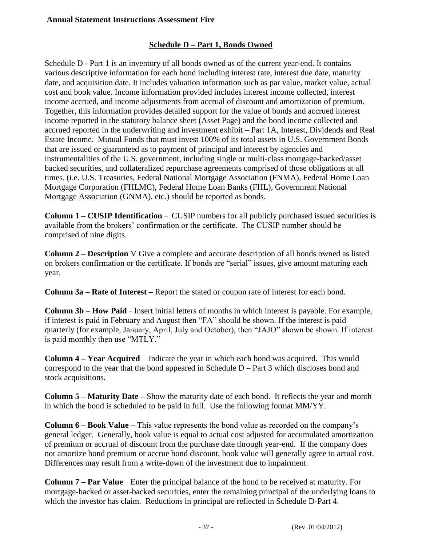## **Schedule D – Part 1, Bonds Owned**

Schedule D - Part 1 is an inventory of all bonds owned as of the current year-end. It contains various descriptive information for each bond including interest rate, interest due date, maturity date, and acquisition date. It includes valuation information such as par value, market value, actual cost and book value. Income information provided includes interest income collected, interest income accrued, and income adjustments from accrual of discount and amortization of premium. Together, this information provides detailed support for the value of bonds and accrued interest income reported in the statutory balance sheet (Asset Page) and the bond income collected and accrued reported in the underwriting and investment exhibit – Part 1A, Interest, Dividends and Real Estate Income. Mutual Funds that must invest 100% of its total assets in U.S. Government Bonds that are issued or guaranteed as to payment of principal and interest by agencies and instrumentalities of the U.S. government, including single or multi-class mortgage-backed/asset backed securities, and collateralized repurchase agreements comprised of those obligations at all times. (i.e. U.S. Treasuries, Federal National Mortgage Association (FNMA), Federal Home Loan Mortgage Corporation (FHLMC), Federal Home Loan Banks (FHL), Government National Mortgage Association (GNMA), etc.) should be reported as bonds.

**Column 1 – CUSIP Identification –** CUSIP numbers for all publicly purchased issued securities is available from the brokers' confirmation or the certificate. The CUSIP number should be comprised of nine digits.

**Column 2 – Description** V Give a complete and accurate description of all bonds owned as listed on brokers confirmation or the certificate. If bonds are "serial" issues, give amount maturing each year.

**Column 3a – Rate of Interest –** Report the stated or coupon rate of interest for each bond.

**Column 3b** – **How Paid –** Insert initial letters of months in which interest is payable. For example, if interest is paid in February and August then "FA" should be shown. If the interest is paid quarterly (for example, January, April, July and October), then "JAJO" shown be shown. If interest is paid monthly then use "MTLY."

**Column 4 – Year Acquired** – Indicate the year in which each bond was acquired. This would correspond to the year that the bond appeared in Schedule  $D - Part 3$  which discloses bond and stock acquisitions.

**Column 5 – Maturity Date –** Show the maturity date of each bond. It reflects the year and month in which the bond is scheduled to be paid in full. Use the following format MM/YY.

**Column 6 – Book Value –** This value represents the bond value as recorded on the company's general ledger. Generally, book value is equal to actual cost adjusted for accumulated amortization of premium or accrual of discount from the purchase date through year-end. If the company does not amortize bond premium or accrue bond discount, book value will generally agree to actual cost. Differences may result from a write-down of the investment due to impairment.

**Column 7 – Par Value** – Enter the principal balance of the bond to be received at maturity. For mortgage-backed or asset-backed securities, enter the remaining principal of the underlying loans to which the investor has claim. Reductions in principal are reflected in Schedule D-Part 4.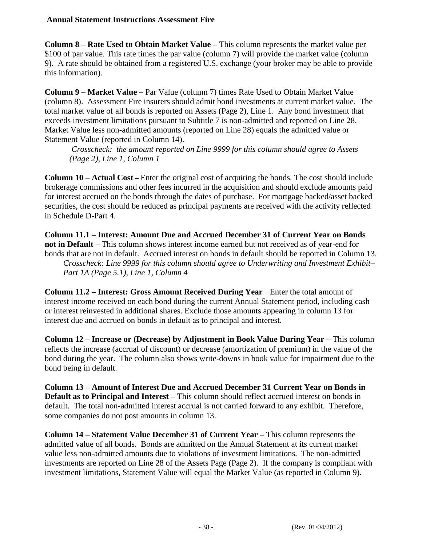**Column 8 – Rate Used to Obtain Market Value –** This column represents the market value per \$100 of par value. This rate times the par value (column 7) will provide the market value (column 9). A rate should be obtained from a registered U.S. exchange (your broker may be able to provide this information).

**Column 9 – Market Value –** Par Value (column 7) times Rate Used to Obtain Market Value (column 8). Assessment Fire insurers should admit bond investments at current market value. The total market value of all bonds is reported on Assets (Page 2), Line 1. Any bond investment that exceeds investment limitations pursuant to Subtitle 7 is non-admitted and reported on Line 28. Market Value less non-admitted amounts (reported on Line 28) equals the admitted value or Statement Value (reported in Column 14).

*Crosscheck: the amount reported on Line 9999 for this column should agree to Assets (Page 2), Line 1, Column 1*

**Column 10 – Actual Cost –** Enter the original cost of acquiring the bonds. The cost should include brokerage commissions and other fees incurred in the acquisition and should exclude amounts paid for interest accrued on the bonds through the dates of purchase. For mortgage backed/asset backed securities, the cost should be reduced as principal payments are received with the activity reflected in Schedule D-Part 4.

**Column 11.1 – Interest: Amount Due and Accrued December 31 of Current Year on Bonds not in Default –** This column shows interest income earned but not received as of year-end for bonds that are not in default. Accrued interest on bonds in default should be reported in Column 13.

*Crosscheck: Line 9999 for this column should agree to Underwriting and Investment Exhibit– Part 1A (Page 5.1), Line 1, Column 4*

**Column 11.2 – Interest: Gross Amount Received During Year –** Enter the total amount of interest income received on each bond during the current Annual Statement period, including cash or interest reinvested in additional shares. Exclude those amounts appearing in column 13 for interest due and accrued on bonds in default as to principal and interest.

**Column 12 – Increase or (Decrease) by Adjustment in Book Value During Year –** This column reflects the increase (accrual of discount) or decrease (amortization of premium) in the value of the bond during the year. The column also shows write-downs in book value for impairment due to the bond being in default.

**Column 13 – Amount of Interest Due and Accrued December 31 Current Year on Bonds in Default as to Principal and Interest –** This column should reflect accrued interest on bonds in default. The total non-admitted interest accrual is not carried forward to any exhibit. Therefore, some companies do not post amounts in column 13.

**Column 14 – Statement Value December 31 of Current Year –** This column represents the admitted value of all bonds. Bonds are admitted on the Annual Statement at its current market value less non-admitted amounts due to violations of investment limitations. The non-admitted investments are reported on Line 28 of the Assets Page (Page 2). If the company is compliant with investment limitations, Statement Value will equal the Market Value (as reported in Column 9).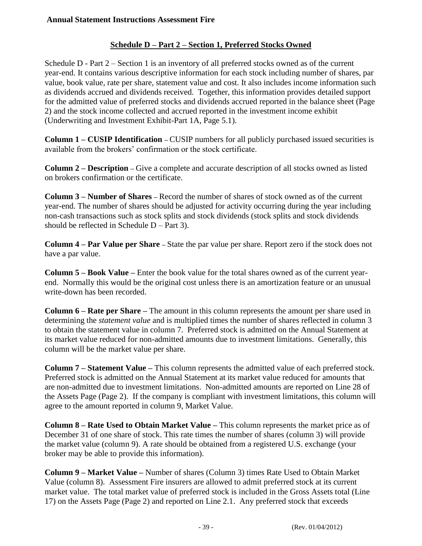## **Schedule D – Part 2 – Section 1, Preferred Stocks Owned**

Schedule  $D$  - Part  $2$  – Section 1 is an inventory of all preferred stocks owned as of the current year-end. It contains various descriptive information for each stock including number of shares, par value, book value, rate per share, statement value and cost. It also includes income information such as dividends accrued and dividends received. Together, this information provides detailed support for the admitted value of preferred stocks and dividends accrued reported in the balance sheet (Page 2) and the stock income collected and accrued reported in the investment income exhibit (Underwriting and Investment Exhibit-Part 1A, Page 5.1).

**Column 1 – CUSIP Identification –** CUSIP numbers for all publicly purchased issued securities is available from the brokers' confirmation or the stock certificate.

**Column 2 – Description –** Give a complete and accurate description of all stocks owned as listed on brokers confirmation or the certificate.

**Column 3 – Number of Shares –** Record the number of shares of stock owned as of the current year-end. The number of shares should be adjusted for activity occurring during the year including non-cash transactions such as stock splits and stock dividends (stock splits and stock dividends should be reflected in Schedule  $D - Part 3$ ).

**Column 4 – Par Value per Share –** State the par value per share. Report zero if the stock does not have a par value.

**Column 5 – Book Value –** Enter the book value for the total shares owned as of the current yearend. Normally this would be the original cost unless there is an amortization feature or an unusual write-down has been recorded.

**Column 6 – Rate per Share –** The amount in this column represents the amount per share used in determining the *statement value* and is multiplied times the number of shares reflected in column 3 to obtain the statement value in column 7. Preferred stock is admitted on the Annual Statement at its market value reduced for non-admitted amounts due to investment limitations. Generally, this column will be the market value per share.

**Column 7 – Statement Value –** This column represents the admitted value of each preferred stock. Preferred stock is admitted on the Annual Statement at its market value reduced for amounts that are non-admitted due to investment limitations. Non-admitted amounts are reported on Line 28 of the Assets Page (Page 2). If the company is compliant with investment limitations, this column will agree to the amount reported in column 9, Market Value.

**Column 8 – Rate Used to Obtain Market Value –** This column represents the market price as of December 31 of one share of stock. This rate times the number of shares (column 3) will provide the market value (column 9). A rate should be obtained from a registered U.S. exchange (your broker may be able to provide this information).

**Column 9 – Market Value –** Number of shares (Column 3) times Rate Used to Obtain Market Value (column 8). Assessment Fire insurers are allowed to admit preferred stock at its current market value. The total market value of preferred stock is included in the Gross Assets total (Line 17) on the Assets Page (Page 2) and reported on Line 2.1. Any preferred stock that exceeds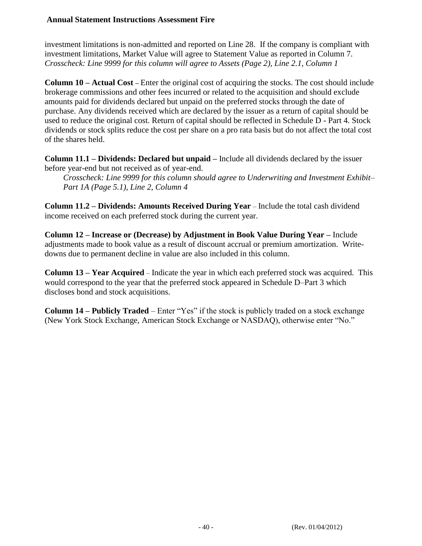investment limitations is non-admitted and reported on Line 28. If the company is compliant with investment limitations, Market Value will agree to Statement Value as reported in Column 7. *Crosscheck: Line 9999 for this column will agree to Assets (Page 2), Line 2.1, Column 1*

**Column 10 – Actual Cost –** Enter the original cost of acquiring the stocks. The cost should include brokerage commissions and other fees incurred or related to the acquisition and should exclude amounts paid for dividends declared but unpaid on the preferred stocks through the date of purchase. Any dividends received which are declared by the issuer as a return of capital should be used to reduce the original cost. Return of capital should be reflected in Schedule D - Part 4. Stock dividends or stock splits reduce the cost per share on a pro rata basis but do not affect the total cost of the shares held.

**Column 11.1 – Dividends: Declared but unpaid –** Include all dividends declared by the issuer before year-end but not received as of year-end.

*Crosscheck: Line 9999 for this column should agree to Underwriting and Investment Exhibit– Part 1A (Page 5.1), Line 2, Column 4*

**Column 11.2 – Dividends: Amounts Received During Year** – Include the total cash dividend income received on each preferred stock during the current year.

**Column 12 – Increase or (Decrease) by Adjustment in Book Value During Year –** Include adjustments made to book value as a result of discount accrual or premium amortization. Writedowns due to permanent decline in value are also included in this column.

**Column 13 – Year Acquired** – Indicate the year in which each preferred stock was acquired. This would correspond to the year that the preferred stock appeared in Schedule D–Part 3 which discloses bond and stock acquisitions.

**Column 14 – Publicly Traded** – Enter "Yes" if the stock is publicly traded on a stock exchange (New York Stock Exchange, American Stock Exchange or NASDAQ), otherwise enter "No."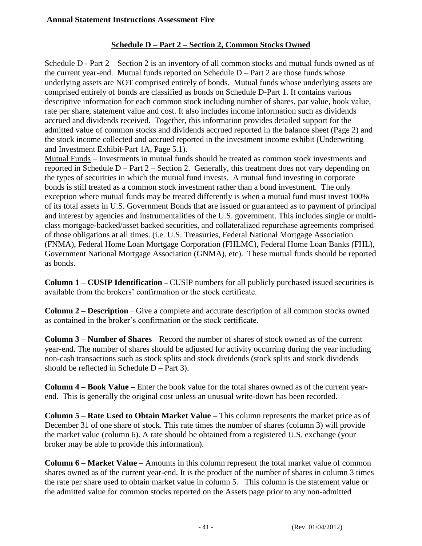## **Schedule D – Part 2 – Section 2, Common Stocks Owned**

Schedule D - Part 2 – Section 2 is an inventory of all common stocks and mutual funds owned as of the current year-end. Mutual funds reported on Schedule  $D - Part 2$  are those funds whose underlying assets are NOT comprised entirely of bonds. Mutual funds whose underlying assets are comprised entirely of bonds are classified as bonds on Schedule D-Part 1. It contains various descriptive information for each common stock including number of shares, par value, book value, rate per share, statement value and cost. It also includes income information such as dividends accrued and dividends received. Together, this information provides detailed support for the admitted value of common stocks and dividends accrued reported in the balance sheet (Page 2) and the stock income collected and accrued reported in the investment income exhibit (Underwriting and Investment Exhibit-Part 1A, Page 5.1).

Mutual Funds – Investments in mutual funds should be treated as common stock investments and reported in Schedule D – Part 2 – Section 2. Generally, this treatment does not vary depending on the types of securities in which the mutual fund invests. A mutual fund investing in corporate bonds is still treated as a common stock investment rather than a bond investment. The only exception where mutual funds may be treated differently is when a mutual fund must invest 100% of its total assets in U.S. Government Bonds that are issued or guaranteed as to payment of principal and interest by agencies and instrumentalities of the U.S. government. This includes single or multiclass mortgage-backed/asset backed securities, and collateralized repurchase agreements comprised of those obligations at all times. (i.e. U.S. Treasuries, Federal National Mortgage Association (FNMA), Federal Home Loan Mortgage Corporation (FHLMC), Federal Home Loan Banks (FHL), Government National Mortgage Association (GNMA), etc). These mutual funds should be reported as bonds.

**Column 1 – CUSIP Identification** – CUSIP numbers for all publicly purchased issued securities is available from the brokers' confirmation or the stock certificate.

**Column 2 – Description** – Give a complete and accurate description of all common stocks owned as contained in the broker's confirmation or the stock certificate.

**Column 3 – Number of Shares** – Record the number of shares of stock owned as of the current year-end. The number of shares should be adjusted for activity occurring during the year including non-cash transactions such as stock splits and stock dividends (stock splits and stock dividends should be reflected in Schedule  $D - Part 3$ .

**Column 4 – Book Value –** Enter the book value for the total shares owned as of the current yearend. This is generally the original cost unless an unusual write-down has been recorded.

**Column 5 – Rate Used to Obtain Market Value –** This column represents the market price as of December 31 of one share of stock. This rate times the number of shares (column 3) will provide the market value (column 6). A rate should be obtained from a registered U.S. exchange (your broker may be able to provide this information).

**Column 6 – Market Value –** Amounts in this column represent the total market value of common shares owned as of the current year-end. It is the product of the number of shares in column 3 times the rate per share used to obtain market value in column 5. This column is the statement value or the admitted value for common stocks reported on the Assets page prior to any non-admitted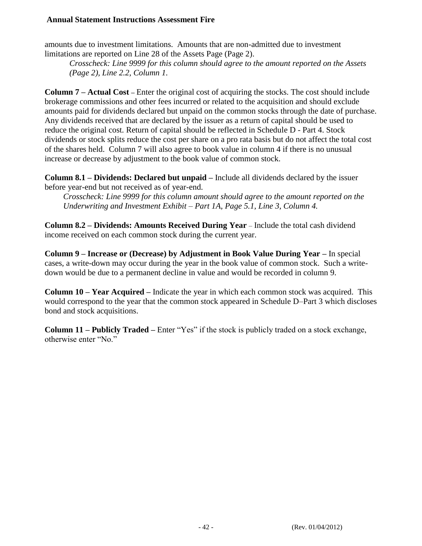amounts due to investment limitations. Amounts that are non-admitted due to investment limitations are reported on Line 28 of the Assets Page (Page 2).

*Crosscheck: Line 9999 for this column should agree to the amount reported on the Assets (Page 2), Line 2.2, Column 1.*

**Column 7 – Actual Cost –** Enter the original cost of acquiring the stocks. The cost should include brokerage commissions and other fees incurred or related to the acquisition and should exclude amounts paid for dividends declared but unpaid on the common stocks through the date of purchase. Any dividends received that are declared by the issuer as a return of capital should be used to reduce the original cost. Return of capital should be reflected in Schedule D - Part 4. Stock dividends or stock splits reduce the cost per share on a pro rata basis but do not affect the total cost of the shares held. Column 7 will also agree to book value in column 4 if there is no unusual increase or decrease by adjustment to the book value of common stock.

**Column 8.1 – Dividends: Declared but unpaid –** Include all dividends declared by the issuer before year-end but not received as of year-end.

*Crosscheck: Line 9999 for this column amount should agree to the amount reported on the Underwriting and Investment Exhibit – Part 1A, Page 5.1, Line 3, Column 4.*

**Column 8.2 – Dividends: Amounts Received During Year** – Include the total cash dividend income received on each common stock during the current year.

**Column 9 – Increase or (Decrease) by Adjustment in Book Value During Year –** In special cases, a write-down may occur during the year in the book value of common stock. Such a writedown would be due to a permanent decline in value and would be recorded in column 9.

**Column 10 – Year Acquired –** Indicate the year in which each common stock was acquired. This would correspond to the year that the common stock appeared in Schedule D–Part 3 which discloses bond and stock acquisitions.

**Column 11 – Publicly Traded –** Enter "Yes" if the stock is publicly traded on a stock exchange, otherwise enter "No."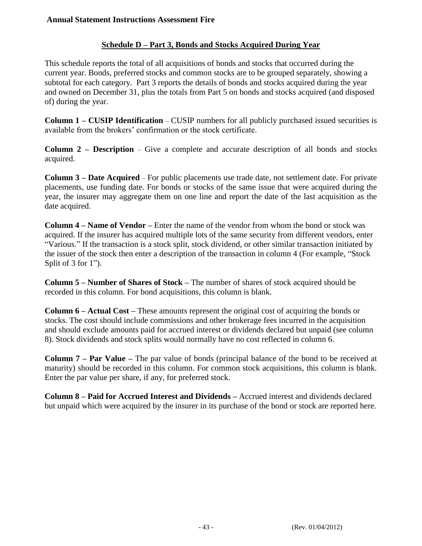## **Schedule D – Part 3, Bonds and Stocks Acquired During Year**

This schedule reports the total of all acquisitions of bonds and stocks that occurred during the current year. Bonds, preferred stocks and common stocks are to be grouped separately, showing a subtotal for each category. Part 3 reports the details of bonds and stocks acquired during the year and owned on December 31, plus the totals from Part 5 on bonds and stocks acquired (and disposed of) during the year.

**Column 1 – CUSIP Identification** – CUSIP numbers for all publicly purchased issued securities is available from the brokers' confirmation or the stock certificate.

**Column 2 – Description** – Give a complete and accurate description of all bonds and stocks acquired.

**Column 3 – Date Acquired** – For public placements use trade date, not settlement date. For private placements, use funding date. For bonds or stocks of the same issue that were acquired during the year, the insurer may aggregate them on one line and report the date of the last acquisition as the date acquired.

**Column 4 – Name of Vendor –** Enter the name of the vendor from whom the bond or stock was acquired. If the insurer has acquired multiple lots of the same security from different vendors, enter "Various." If the transaction is a stock split, stock dividend, or other similar transaction initiated by the issuer of the stock then enter a description of the transaction in column 4 (For example, "Stock Split of 3 for 1").

**Column 5 – Number of Shares of Stock –** The number of shares of stock acquired should be recorded in this column. For bond acquisitions, this column is blank.

**Column 6 – Actual Cost –** These amounts represent the original cost of acquiring the bonds or stocks. The cost should include commissions and other brokerage fees incurred in the acquisition and should exclude amounts paid for accrued interest or dividends declared but unpaid (see column 8). Stock dividends and stock splits would normally have no cost reflected in column 6.

**Column 7 – Par Value –** The par value of bonds (principal balance of the bond to be received at maturity) should be recorded in this column. For common stock acquisitions, this column is blank. Enter the par value per share, if any, for preferred stock.

**Column 8 – Paid for Accrued Interest and Dividends –** Accrued interest and dividends declared but unpaid which were acquired by the insurer in its purchase of the bond or stock are reported here.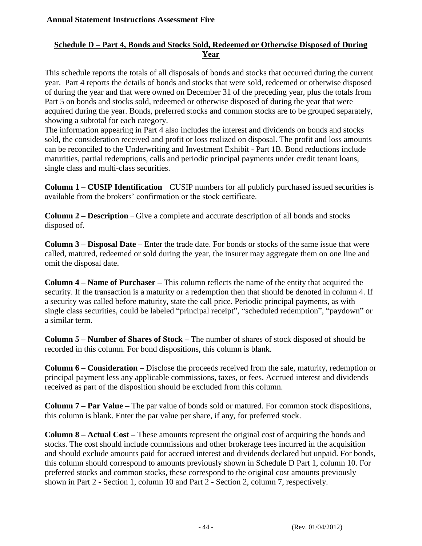## **Schedule D – Part 4, Bonds and Stocks Sold, Redeemed or Otherwise Disposed of During Year**

This schedule reports the totals of all disposals of bonds and stocks that occurred during the current year. Part 4 reports the details of bonds and stocks that were sold, redeemed or otherwise disposed of during the year and that were owned on December 31 of the preceding year, plus the totals from Part 5 on bonds and stocks sold, redeemed or otherwise disposed of during the year that were acquired during the year. Bonds, preferred stocks and common stocks are to be grouped separately, showing a subtotal for each category.

The information appearing in Part 4 also includes the interest and dividends on bonds and stocks sold, the consideration received and profit or loss realized on disposal. The profit and loss amounts can be reconciled to the Underwriting and Investment Exhibit - Part 1B. Bond reductions include maturities, partial redemptions, calls and periodic principal payments under credit tenant loans, single class and multi-class securities.

**Column 1 – CUSIP Identification** – CUSIP numbers for all publicly purchased issued securities is available from the brokers' confirmation or the stock certificate.

**Column 2 – Description** – Give a complete and accurate description of all bonds and stocks disposed of.

**Column 3 – Disposal Date** – Enter the trade date. For bonds or stocks of the same issue that were called, matured, redeemed or sold during the year, the insurer may aggregate them on one line and omit the disposal date.

**Column 4 – Name of Purchaser –** This column reflects the name of the entity that acquired the security. If the transaction is a maturity or a redemption then that should be denoted in column 4. If a security was called before maturity, state the call price. Periodic principal payments, as with single class securities, could be labeled "principal receipt", "scheduled redemption", "paydown" or a similar term.

**Column 5 – Number of Shares of Stock –** The number of shares of stock disposed of should be recorded in this column. For bond dispositions, this column is blank.

**Column 6 – Consideration –** Disclose the proceeds received from the sale, maturity, redemption or principal payment less any applicable commissions, taxes, or fees. Accrued interest and dividends received as part of the disposition should be excluded from this column.

**Column 7 – Par Value –** The par value of bonds sold or matured. For common stock dispositions, this column is blank. Enter the par value per share, if any, for preferred stock.

**Column 8 – Actual Cost –** These amounts represent the original cost of acquiring the bonds and stocks. The cost should include commissions and other brokerage fees incurred in the acquisition and should exclude amounts paid for accrued interest and dividends declared but unpaid. For bonds, this column should correspond to amounts previously shown in Schedule D Part 1, column 10. For preferred stocks and common stocks, these correspond to the original cost amounts previously shown in Part 2 - Section 1, column 10 and Part 2 - Section 2, column 7, respectively.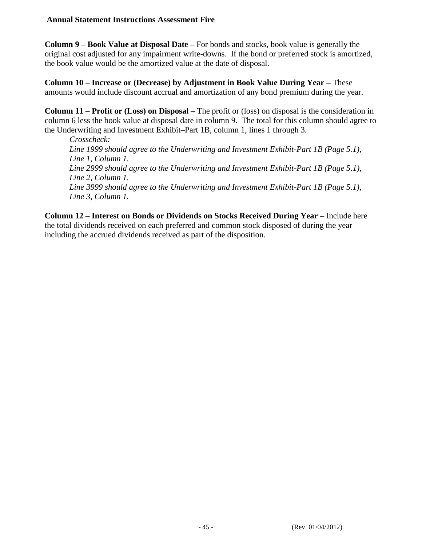**Column 9 – Book Value at Disposal Date –** For bonds and stocks, book value is generally the original cost adjusted for any impairment write-downs. If the bond or preferred stock is amortized, the book value would be the amortized value at the date of disposal.

**Column 10 – Increase or (Decrease) by Adjustment in Book Value During Year –** These amounts would include discount accrual and amortization of any bond premium during the year.

**Column 11 – Profit or (Loss) on Disposal –** The profit or (loss) on disposal is the consideration in column 6 less the book value at disposal date in column 9. The total for this column should agree to the Underwriting and Investment Exhibit–Part 1B, column 1, lines 1 through 3.

*Crosscheck: Line 1999 should agree to the Underwriting and Investment Exhibit-Part 1B (Page 5.1), Line 1, Column 1. Line 2999 should agree to the Underwriting and Investment Exhibit-Part 1B (Page 5.1), Line 2, Column 1. Line 3999 should agree to the Underwriting and Investment Exhibit-Part 1B (Page 5.1), Line 3, Column 1.*

**Column 12 – Interest on Bonds or Dividends on Stocks Received During Year –** Include here the total dividends received on each preferred and common stock disposed of during the year including the accrued dividends received as part of the disposition.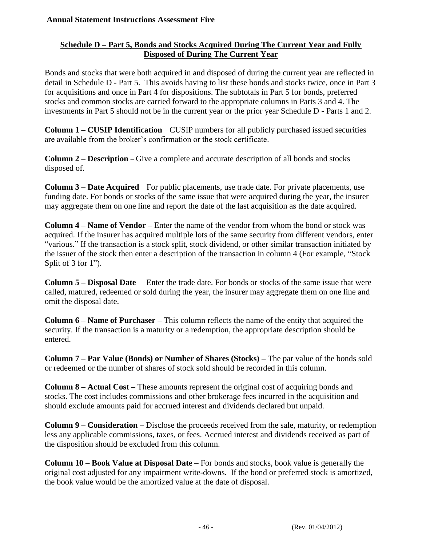## **Schedule D – Part 5, Bonds and Stocks Acquired During The Current Year and Fully Disposed of During The Current Year**

Bonds and stocks that were both acquired in and disposed of during the current year are reflected in detail in Schedule D - Part 5. This avoids having to list these bonds and stocks twice, once in Part 3 for acquisitions and once in Part 4 for dispositions. The subtotals in Part 5 for bonds, preferred stocks and common stocks are carried forward to the appropriate columns in Parts 3 and 4. The investments in Part 5 should not be in the current year or the prior year Schedule D - Parts 1 and 2.

**Column 1 – CUSIP Identification** – CUSIP numbers for all publicly purchased issued securities are available from the broker's confirmation or the stock certificate.

**Column 2 – Description** – Give a complete and accurate description of all bonds and stocks disposed of.

**Column 3 – Date Acquired** – For public placements, use trade date. For private placements, use funding date. For bonds or stocks of the same issue that were acquired during the year, the insurer may aggregate them on one line and report the date of the last acquisition as the date acquired.

**Column 4 – Name of Vendor –** Enter the name of the vendor from whom the bond or stock was acquired. If the insurer has acquired multiple lots of the same security from different vendors, enter "various." If the transaction is a stock split, stock dividend, or other similar transaction initiated by the issuer of the stock then enter a description of the transaction in column 4 (For example, "Stock Split of 3 for 1").

**Column 5 – Disposal Date** – Enter the trade date. For bonds or stocks of the same issue that were called, matured, redeemed or sold during the year, the insurer may aggregate them on one line and omit the disposal date.

**Column 6 – Name of Purchaser –** This column reflects the name of the entity that acquired the security. If the transaction is a maturity or a redemption, the appropriate description should be entered.

**Column 7 – Par Value (Bonds) or Number of Shares (Stocks) –** The par value of the bonds sold or redeemed or the number of shares of stock sold should be recorded in this column.

**Column 8 – Actual Cost –** These amounts represent the original cost of acquiring bonds and stocks. The cost includes commissions and other brokerage fees incurred in the acquisition and should exclude amounts paid for accrued interest and dividends declared but unpaid.

**Column 9 – Consideration –** Disclose the proceeds received from the sale, maturity, or redemption less any applicable commissions, taxes, or fees. Accrued interest and dividends received as part of the disposition should be excluded from this column.

**Column 10 – Book Value at Disposal Date –** For bonds and stocks, book value is generally the original cost adjusted for any impairment write-downs. If the bond or preferred stock is amortized, the book value would be the amortized value at the date of disposal.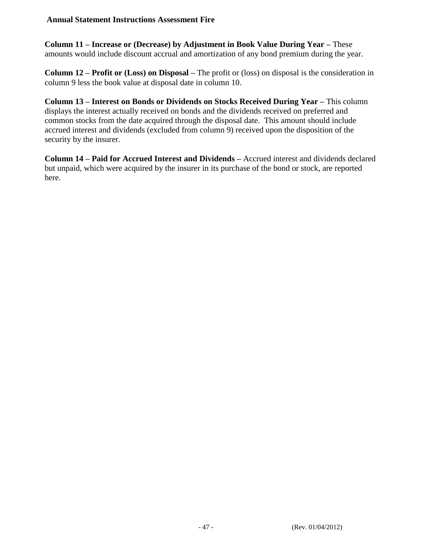**Column 11 – Increase or (Decrease) by Adjustment in Book Value During Year –** These amounts would include discount accrual and amortization of any bond premium during the year.

**Column 12 – Profit or (Loss) on Disposal –** The profit or (loss) on disposal is the consideration in column 9 less the book value at disposal date in column 10.

**Column 13 – Interest on Bonds or Dividends on Stocks Received During Year –** This column displays the interest actually received on bonds and the dividends received on preferred and common stocks from the date acquired through the disposal date. This amount should include accrued interest and dividends (excluded from column 9) received upon the disposition of the security by the insurer.

**Column 14 – Paid for Accrued Interest and Dividends –** Accrued interest and dividends declared but unpaid, which were acquired by the insurer in its purchase of the bond or stock, are reported here.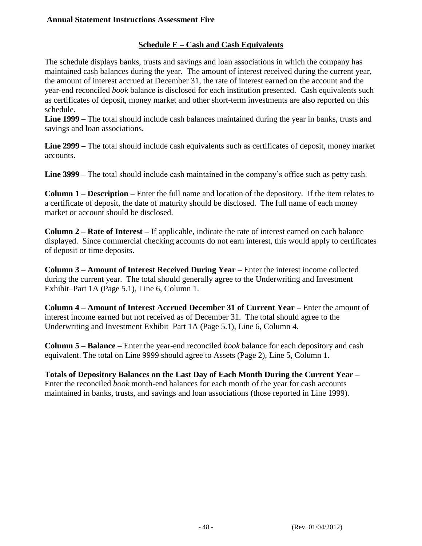## **Schedule E – Cash and Cash Equivalents**

The schedule displays banks, trusts and savings and loan associations in which the company has maintained cash balances during the year. The amount of interest received during the current year, the amount of interest accrued at December 31, the rate of interest earned on the account and the year-end reconciled *book* balance is disclosed for each institution presented. Cash equivalents such as certificates of deposit, money market and other short-term investments are also reported on this schedule.

**Line 1999 –** The total should include cash balances maintained during the year in banks, trusts and savings and loan associations.

**Line 2999 –** The total should include cash equivalents such as certificates of deposit, money market accounts.

**Line 3999 –** The total should include cash maintained in the company's office such as petty cash.

**Column 1 – Description –** Enter the full name and location of the depository. If the item relates to a certificate of deposit, the date of maturity should be disclosed. The full name of each money market or account should be disclosed.

**Column 2 – Rate of Interest –** If applicable, indicate the rate of interest earned on each balance displayed. Since commercial checking accounts do not earn interest, this would apply to certificates of deposit or time deposits.

**Column 3 – Amount of Interest Received During Year –** Enter the interest income collected during the current year. The total should generally agree to the Underwriting and Investment Exhibit–Part 1A (Page 5.1), Line 6, Column 1.

**Column 4 – Amount of Interest Accrued December 31 of Current Year –** Enter the amount of interest income earned but not received as of December 31. The total should agree to the Underwriting and Investment Exhibit–Part 1A (Page 5.1), Line 6, Column 4.

**Column 5 – Balance –** Enter the year-end reconciled *book* balance for each depository and cash equivalent. The total on Line 9999 should agree to Assets (Page 2), Line 5, Column 1.

**Totals of Depository Balances on the Last Day of Each Month During the Current Year –** Enter the reconciled *book* month-end balances for each month of the year for cash accounts maintained in banks, trusts, and savings and loan associations (those reported in Line 1999).